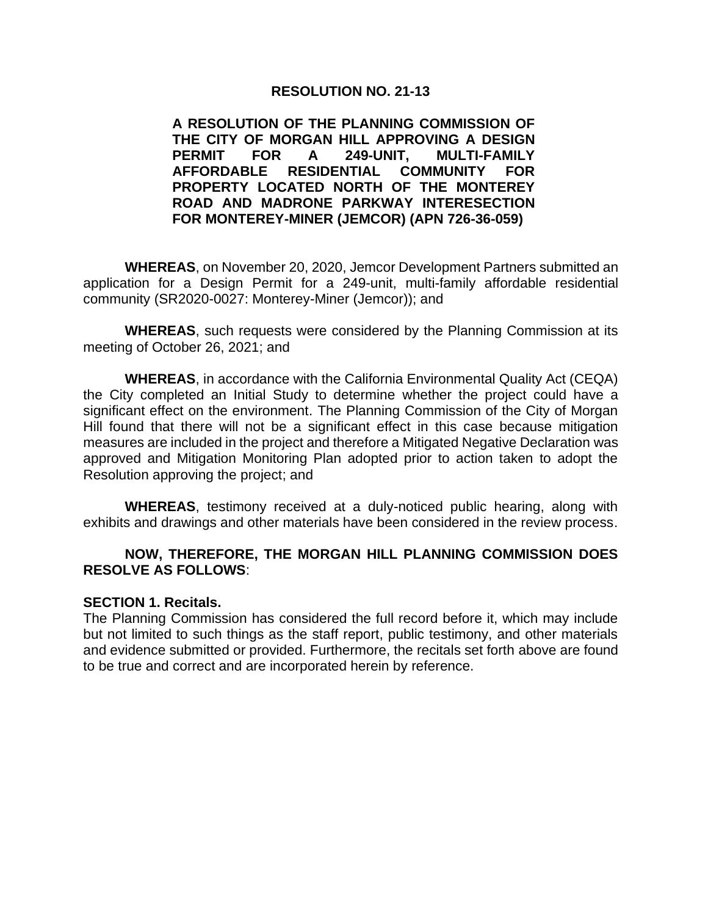#### **RESOLUTION NO. 21-13**

#### **A RESOLUTION OF THE PLANNING COMMISSION OF THE CITY OF MORGAN HILL APPROVING A DESIGN PERMIT FOR A 249-UNIT, MULTI-FAMILY AFFORDABLE RESIDENTIAL COMMUNITY FOR PROPERTY LOCATED NORTH OF THE MONTEREY ROAD AND MADRONE PARKWAY INTERESECTION FOR MONTEREY-MINER (JEMCOR) (APN 726-36-059)**

**WHEREAS**, on November 20, 2020, Jemcor Development Partners submitted an application for a Design Permit for a 249-unit, multi-family affordable residential community (SR2020-0027: Monterey-Miner (Jemcor)); and

**WHEREAS**, such requests were considered by the Planning Commission at its meeting of October 26, 2021; and

**WHEREAS**, in accordance with the California Environmental Quality Act (CEQA) the City completed an Initial Study to determine whether the project could have a significant effect on the environment. The Planning Commission of the City of Morgan Hill found that there will not be a significant effect in this case because mitigation measures are included in the project and therefore a Mitigated Negative Declaration was approved and Mitigation Monitoring Plan adopted prior to action taken to adopt the Resolution approving the project; and

**WHEREAS**, testimony received at a duly-noticed public hearing, along with exhibits and drawings and other materials have been considered in the review process.

#### **NOW, THEREFORE, THE MORGAN HILL PLANNING COMMISSION DOES RESOLVE AS FOLLOWS**:

#### **SECTION 1. Recitals.**

The Planning Commission has considered the full record before it, which may include but not limited to such things as the staff report, public testimony, and other materials and evidence submitted or provided. Furthermore, the recitals set forth above are found to be true and correct and are incorporated herein by reference.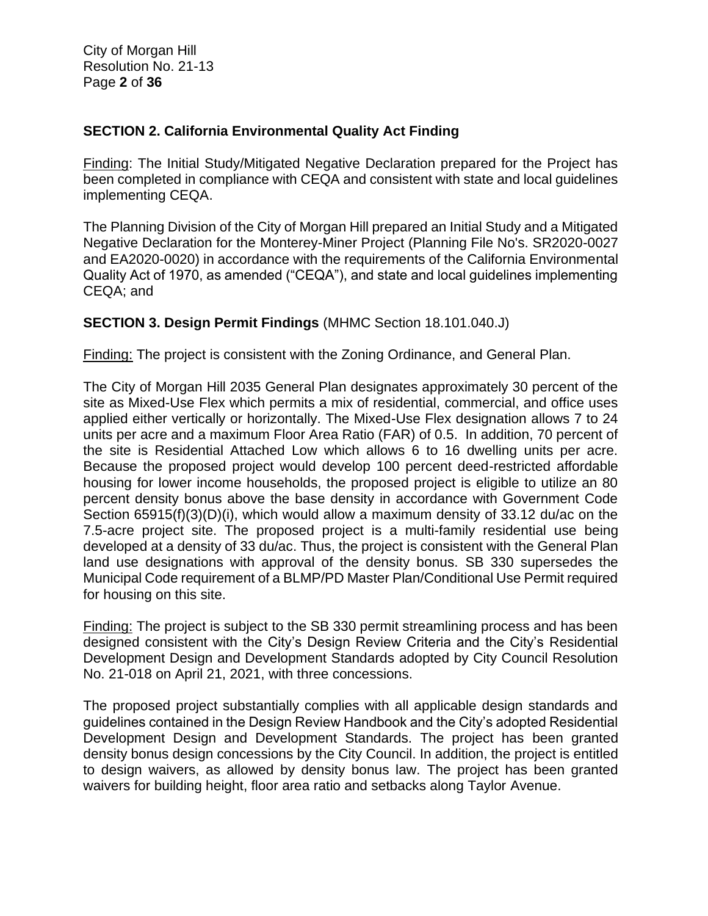City of Morgan Hill Resolution No. 21-13 Page **2** of **36**

# **SECTION 2. California Environmental Quality Act Finding**

Finding: The Initial Study/Mitigated Negative Declaration prepared for the Project has been completed in compliance with CEQA and consistent with state and local guidelines implementing CEQA.

The Planning Division of the City of Morgan Hill prepared an Initial Study and a Mitigated Negative Declaration for the Monterey-Miner Project (Planning File No's. SR2020-0027 and EA2020-0020) in accordance with the requirements of the California Environmental Quality Act of 1970, as amended ("CEQA"), and state and local guidelines implementing CEQA; and

# **SECTION 3. Design Permit Findings** (MHMC Section 18.101.040.J)

Finding: The project is consistent with the Zoning Ordinance, and General Plan.

The City of Morgan Hill 2035 General Plan designates approximately 30 percent of the site as Mixed-Use Flex which permits a mix of residential, commercial, and office uses applied either vertically or horizontally. The Mixed-Use Flex designation allows 7 to 24 units per acre and a maximum Floor Area Ratio (FAR) of 0.5. In addition, 70 percent of the site is Residential Attached Low which allows 6 to 16 dwelling units per acre. Because the proposed project would develop 100 percent deed-restricted affordable housing for lower income households, the proposed project is eligible to utilize an 80 percent density bonus above the base density in accordance with Government Code Section 65915(f)(3)(D)(i), which would allow a maximum density of 33.12 du/ac on the 7.5-acre project site. The proposed project is a multi-family residential use being developed at a density of 33 du/ac. Thus, the project is consistent with the General Plan land use designations with approval of the density bonus. SB 330 supersedes the Municipal Code requirement of a BLMP/PD Master Plan/Conditional Use Permit required for housing on this site.

Finding: The project is subject to the SB 330 permit streamlining process and has been designed consistent with the City's Design Review Criteria and the City's Residential Development Design and Development Standards adopted by City Council Resolution No. 21-018 on April 21, 2021, with three concessions.

The proposed project substantially complies with all applicable design standards and guidelines contained in the Design Review Handbook and the City's adopted Residential Development Design and Development Standards. The project has been granted density bonus design concessions by the City Council. In addition, the project is entitled to design waivers, as allowed by density bonus law. The project has been granted waivers for building height, floor area ratio and setbacks along Taylor Avenue.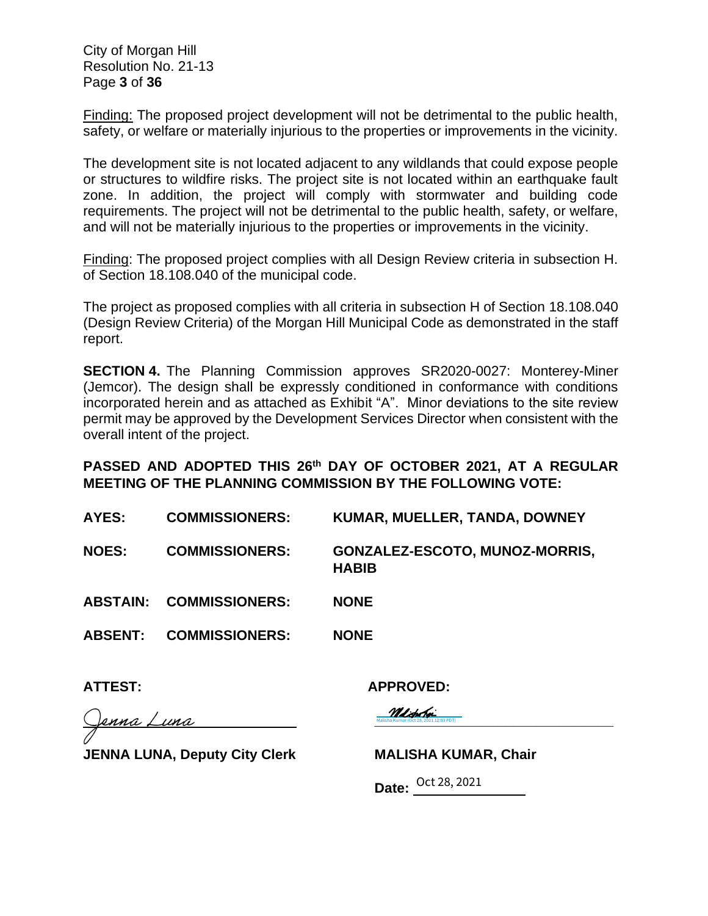City of Morgan Hill Resolution No. 21-13 Page **3** of **36**

Finding: The proposed project development will not be detrimental to the public health, safety, or welfare or materially injurious to the properties or improvements in the vicinity.

The development site is not located adjacent to any wildlands that could expose people or structures to wildfire risks. The project site is not located within an earthquake fault zone. In addition, the project will comply with stormwater and building code requirements. The project will not be detrimental to the public health, safety, or welfare, and will not be materially injurious to the properties or improvements in the vicinity.

Finding: The proposed project complies with all Design Review criteria in subsection H. of Section 18.108.040 of the municipal code.

The project as proposed complies with all criteria in subsection H of Section 18.108.040 (Design Review Criteria) of the Morgan Hill Municipal Code as demonstrated in the staff report.

**SECTION 4.** The Planning Commission approves SR2020-0027: Monterey-Miner (Jemcor). The design shall be expressly conditioned in conformance with conditions incorporated herein and as attached as Exhibit "A". Minor deviations to the site review permit may be approved by the Development Services Director when consistent with the overall intent of the project.

# **PASSED AND ADOPTED THIS 26th DAY OF OCTOBER 2021, AT A REGULAR MEETING OF THE PLANNING COMMISSION BY THE FOLLOWING VOTE:**

| AYES:          | <b>COMMISSIONERS:</b>          | KUMAR, MUELLER, TANDA, DOWNEY                  |
|----------------|--------------------------------|------------------------------------------------|
| <b>NOES:</b>   | <b>COMMISSIONERS:</b>          | GONZALEZ-ESCOTO, MUNOZ-MORRIS,<br><b>HABIB</b> |
|                | <b>ABSTAIN: COMMISSIONERS:</b> | <b>NONE</b>                                    |
| <b>ABSENT:</b> | <b>COMMISSIONERS:</b>          | <b>NONE</b>                                    |
|                |                                |                                                |

**ATTEST: APPROVED:** 

Malisha Kumar (Oct 28, 2021 12:03 PDT)

<u>rnna Luna</u>

JENNA LUNA, Deputy City Clerk **MALISHA KUMAR, Chair** 

**Malisha Kumar (Oct 28, 2021 12:03 PDT)** 

**Date:** Oct 28, 2021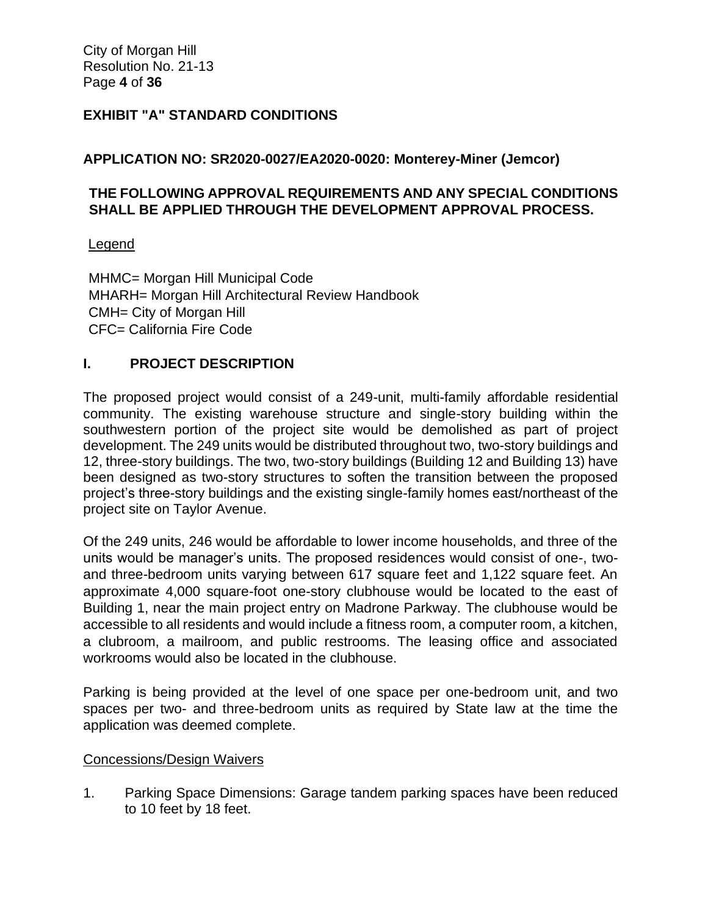City of Morgan Hill Resolution No. 21-13 Page **4** of **36**

#### **EXHIBIT "A" STANDARD CONDITIONS**

#### **APPLICATION NO: SR2020-0027/EA2020-0020: Monterey-Miner (Jemcor)**

# **THE FOLLOWING APPROVAL REQUIREMENTS AND ANY SPECIAL CONDITIONS SHALL BE APPLIED THROUGH THE DEVELOPMENT APPROVAL PROCESS.**

#### Legend

MHMC= Morgan Hill Municipal Code MHARH= Morgan Hill Architectural Review Handbook CMH= City of Morgan Hill CFC= California Fire Code

#### **I. PROJECT DESCRIPTION**

The proposed project would consist of a 249-unit, multi-family affordable residential community. The existing warehouse structure and single-story building within the southwestern portion of the project site would be demolished as part of project development. The 249 units would be distributed throughout two, two-story buildings and 12, three-story buildings. The two, two-story buildings (Building 12 and Building 13) have been designed as two-story structures to soften the transition between the proposed project's three-story buildings and the existing single-family homes east/northeast of the project site on Taylor Avenue.

Of the 249 units, 246 would be affordable to lower income households, and three of the units would be manager's units. The proposed residences would consist of one-, twoand three-bedroom units varying between 617 square feet and 1,122 square feet. An approximate 4,000 square-foot one-story clubhouse would be located to the east of Building 1, near the main project entry on Madrone Parkway. The clubhouse would be accessible to all residents and would include a fitness room, a computer room, a kitchen, a clubroom, a mailroom, and public restrooms. The leasing office and associated workrooms would also be located in the clubhouse.

Parking is being provided at the level of one space per one-bedroom unit, and two spaces per two- and three-bedroom units as required by State law at the time the application was deemed complete.

#### Concessions/Design Waivers

1. Parking Space Dimensions: Garage tandem parking spaces have been reduced to 10 feet by 18 feet.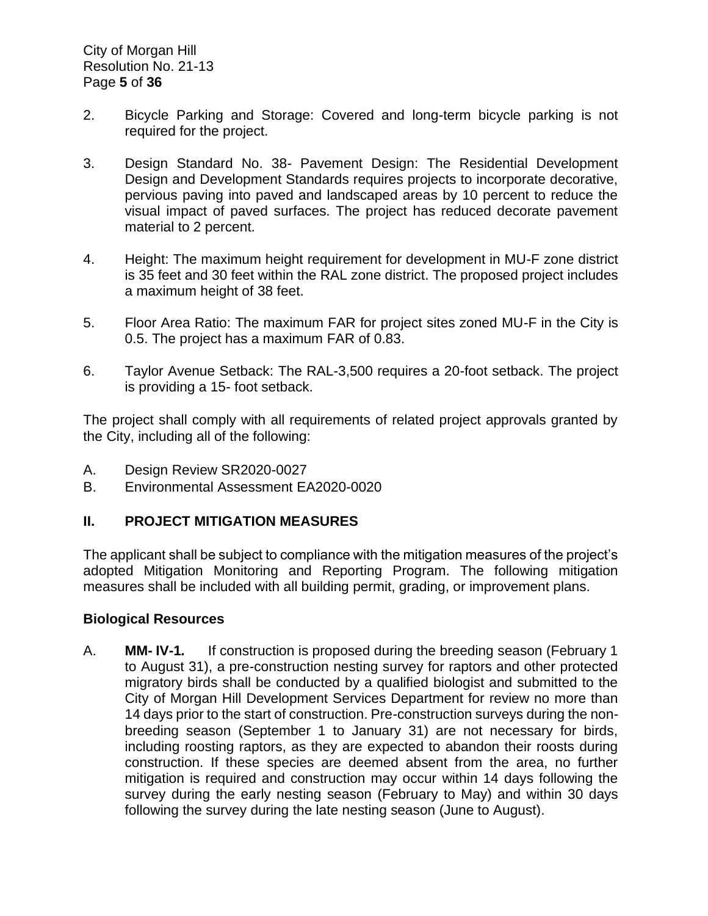- 2. Bicycle Parking and Storage: Covered and long-term bicycle parking is not required for the project.
- 3. Design Standard No. 38- Pavement Design: The Residential Development Design and Development Standards requires projects to incorporate decorative, pervious paving into paved and landscaped areas by 10 percent to reduce the visual impact of paved surfaces. The project has reduced decorate pavement material to 2 percent.
- 4. Height: The maximum height requirement for development in MU-F zone district is 35 feet and 30 feet within the RAL zone district. The proposed project includes a maximum height of 38 feet.
- 5. Floor Area Ratio: The maximum FAR for project sites zoned MU-F in the City is 0.5. The project has a maximum FAR of 0.83.
- 6. Taylor Avenue Setback: The RAL-3,500 requires a 20-foot setback. The project is providing a 15- foot setback.

The project shall comply with all requirements of related project approvals granted by the City, including all of the following:

- A. Design Review SR2020-0027
- B. Environmental Assessment EA2020-0020

# **II. PROJECT MITIGATION MEASURES**

The applicant shall be subject to compliance with the mitigation measures of the project's adopted Mitigation Monitoring and Reporting Program. The following mitigation measures shall be included with all building permit, grading, or improvement plans.

#### **Biological Resources**

A. **MM- IV-1***.* If construction is proposed during the breeding season (February 1 to August 31), a pre-construction nesting survey for raptors and other protected migratory birds shall be conducted by a qualified biologist and submitted to the City of Morgan Hill Development Services Department for review no more than 14 days prior to the start of construction. Pre-construction surveys during the nonbreeding season (September 1 to January 31) are not necessary for birds, including roosting raptors, as they are expected to abandon their roosts during construction. If these species are deemed absent from the area, no further mitigation is required and construction may occur within 14 days following the survey during the early nesting season (February to May) and within 30 days following the survey during the late nesting season (June to August).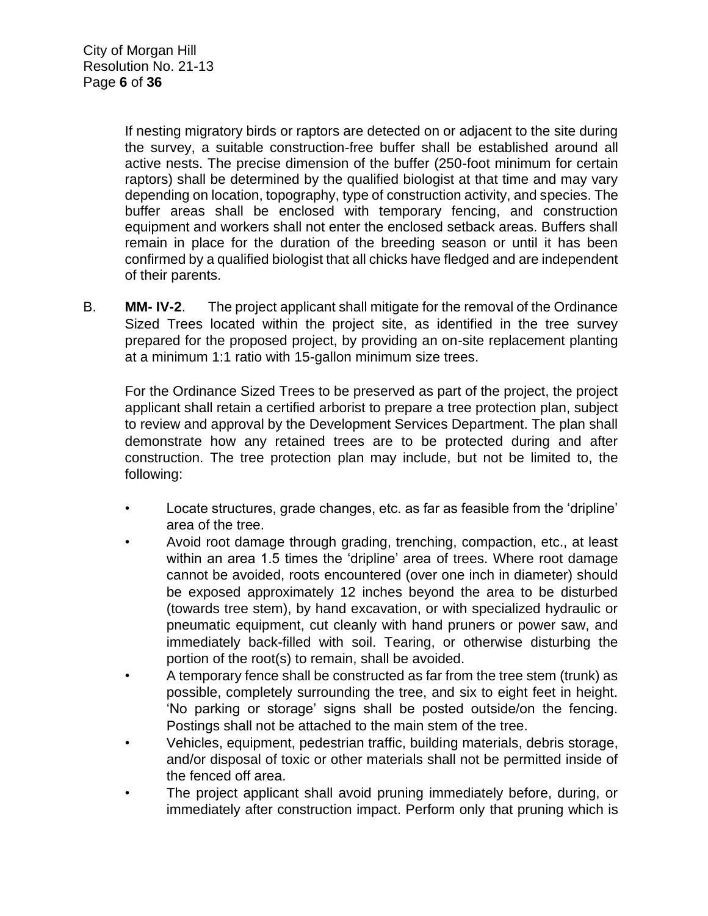If nesting migratory birds or raptors are detected on or adjacent to the site during the survey, a suitable construction-free buffer shall be established around all active nests. The precise dimension of the buffer (250-foot minimum for certain raptors) shall be determined by the qualified biologist at that time and may vary depending on location, topography, type of construction activity, and species. The buffer areas shall be enclosed with temporary fencing, and construction equipment and workers shall not enter the enclosed setback areas. Buffers shall remain in place for the duration of the breeding season or until it has been confirmed by a qualified biologist that all chicks have fledged and are independent of their parents.

B. **MM- IV-2**. The project applicant shall mitigate for the removal of the Ordinance Sized Trees located within the project site, as identified in the tree survey prepared for the proposed project, by providing an on-site replacement planting at a minimum 1:1 ratio with 15-gallon minimum size trees.

For the Ordinance Sized Trees to be preserved as part of the project, the project applicant shall retain a certified arborist to prepare a tree protection plan, subject to review and approval by the Development Services Department. The plan shall demonstrate how any retained trees are to be protected during and after construction. The tree protection plan may include, but not be limited to, the following:

- Locate structures, grade changes, etc. as far as feasible from the 'dripline' area of the tree.
- Avoid root damage through grading, trenching, compaction, etc., at least within an area 1.5 times the 'dripline' area of trees. Where root damage cannot be avoided, roots encountered (over one inch in diameter) should be exposed approximately 12 inches beyond the area to be disturbed (towards tree stem), by hand excavation, or with specialized hydraulic or pneumatic equipment, cut cleanly with hand pruners or power saw, and immediately back-filled with soil. Tearing, or otherwise disturbing the portion of the root(s) to remain, shall be avoided.
- A temporary fence shall be constructed as far from the tree stem (trunk) as possible, completely surrounding the tree, and six to eight feet in height. 'No parking or storage' signs shall be posted outside/on the fencing. Postings shall not be attached to the main stem of the tree.
- Vehicles, equipment, pedestrian traffic, building materials, debris storage, and/or disposal of toxic or other materials shall not be permitted inside of the fenced off area.
- The project applicant shall avoid pruning immediately before, during, or immediately after construction impact. Perform only that pruning which is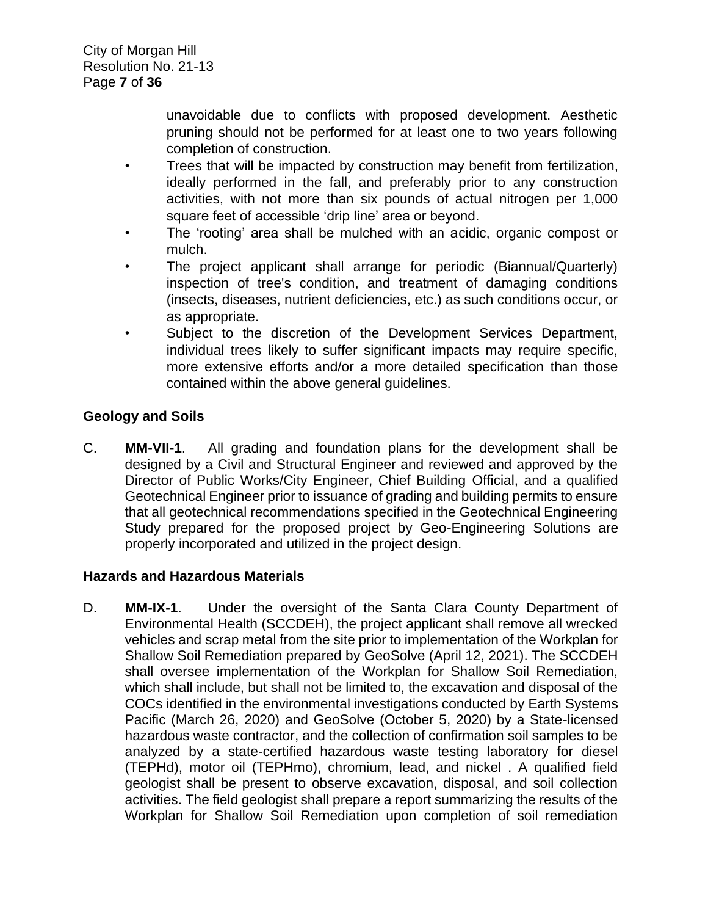unavoidable due to conflicts with proposed development. Aesthetic pruning should not be performed for at least one to two years following completion of construction.

- Trees that will be impacted by construction may benefit from fertilization, ideally performed in the fall, and preferably prior to any construction activities, with not more than six pounds of actual nitrogen per 1,000 square feet of accessible 'drip line' area or beyond.
- The 'rooting' area shall be mulched with an acidic, organic compost or mulch.
- The project applicant shall arrange for periodic (Biannual/Quarterly) inspection of tree's condition, and treatment of damaging conditions (insects, diseases, nutrient deficiencies, etc.) as such conditions occur, or as appropriate.
- Subject to the discretion of the Development Services Department, individual trees likely to suffer significant impacts may require specific, more extensive efforts and/or a more detailed specification than those contained within the above general guidelines.

# **Geology and Soils**

C. **MM-VII-1**. All grading and foundation plans for the development shall be designed by a Civil and Structural Engineer and reviewed and approved by the Director of Public Works/City Engineer, Chief Building Official, and a qualified Geotechnical Engineer prior to issuance of grading and building permits to ensure that all geotechnical recommendations specified in the Geotechnical Engineering Study prepared for the proposed project by Geo-Engineering Solutions are properly incorporated and utilized in the project design.

# **Hazards and Hazardous Materials**

D. **MM-IX-1**. Under the oversight of the Santa Clara County Department of Environmental Health (SCCDEH), the project applicant shall remove all wrecked vehicles and scrap metal from the site prior to implementation of the Workplan for Shallow Soil Remediation prepared by GeoSolve (April 12, 2021). The SCCDEH shall oversee implementation of the Workplan for Shallow Soil Remediation, which shall include, but shall not be limited to, the excavation and disposal of the COCs identified in the environmental investigations conducted by Earth Systems Pacific (March 26, 2020) and GeoSolve (October 5, 2020) by a State-licensed hazardous waste contractor, and the collection of confirmation soil samples to be analyzed by a state-certified hazardous waste testing laboratory for diesel (TEPHd), motor oil (TEPHmo), chromium, lead, and nickel . A qualified field geologist shall be present to observe excavation, disposal, and soil collection activities. The field geologist shall prepare a report summarizing the results of the Workplan for Shallow Soil Remediation upon completion of soil remediation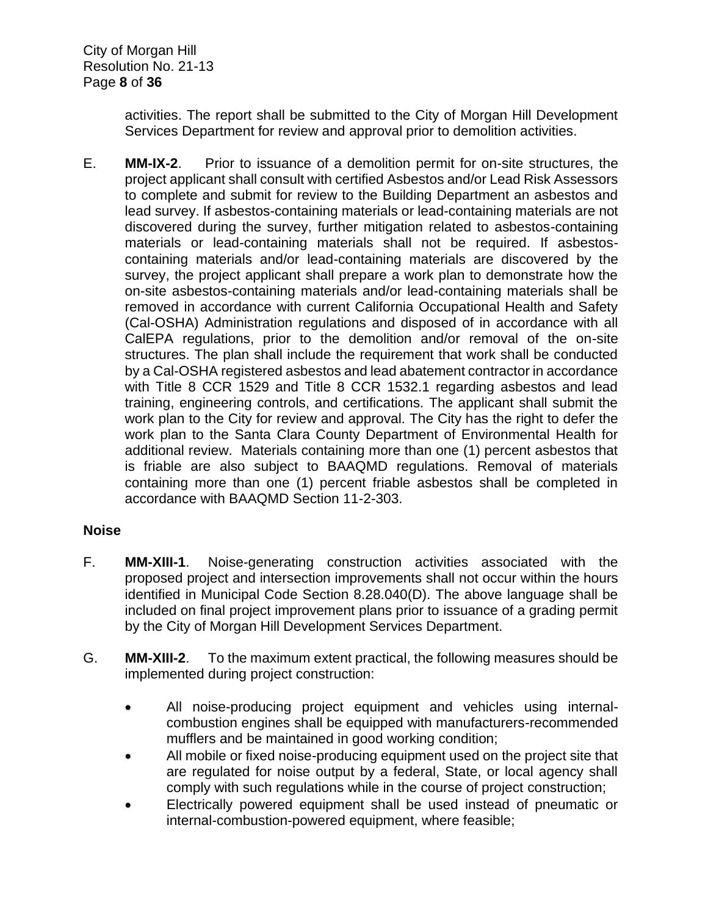City of Morgan Hill Resolution No. 21-13 Page **8** of **36**

> activities. The report shall be submitted to the City of Morgan Hill Development Services Department for review and approval prior to demolition activities.

E. **MM-IX-2**. Prior to issuance of a demolition permit for on-site structures, the project applicant shall consult with certified Asbestos and/or Lead Risk Assessors to complete and submit for review to the Building Department an asbestos and lead survey. If asbestos-containing materials or lead-containing materials are not discovered during the survey, further mitigation related to asbestos-containing materials or lead-containing materials shall not be required. If asbestoscontaining materials and/or lead-containing materials are discovered by the survey, the project applicant shall prepare a work plan to demonstrate how the on-site asbestos-containing materials and/or lead-containing materials shall be removed in accordance with current California Occupational Health and Safety (Cal-OSHA) Administration regulations and disposed of in accordance with all CalEPA regulations, prior to the demolition and/or removal of the on-site structures. The plan shall include the requirement that work shall be conducted by a Cal-OSHA registered asbestos and lead abatement contractor in accordance with Title 8 CCR 1529 and Title 8 CCR 1532.1 regarding asbestos and lead training, engineering controls, and certifications. The applicant shall submit the work plan to the City for review and approval. The City has the right to defer the work plan to the Santa Clara County Department of Environmental Health for additional review. Materials containing more than one (1) percent asbestos that is friable are also subject to BAAQMD regulations. Removal of materials containing more than one (1) percent friable asbestos shall be completed in accordance with BAAQMD Section 11-2-303.

# **Noise**

- F. **MM-XIII-1**. Noise-generating construction activities associated with the proposed project and intersection improvements shall not occur within the hours identified in Municipal Code Section 8.28.040(D). The above language shall be included on final project improvement plans prior to issuance of a grading permit by the City of Morgan Hill Development Services Department.
- G. **MM-XIII-2**. To the maximum extent practical, the following measures should be implemented during project construction:
	- All noise-producing project equipment and vehicles using internalcombustion engines shall be equipped with manufacturers-recommended mufflers and be maintained in good working condition;
	- All mobile or fixed noise-producing equipment used on the project site that are regulated for noise output by a federal, State, or local agency shall comply with such regulations while in the course of project construction;
	- Electrically powered equipment shall be used instead of pneumatic or internal-combustion-powered equipment, where feasible;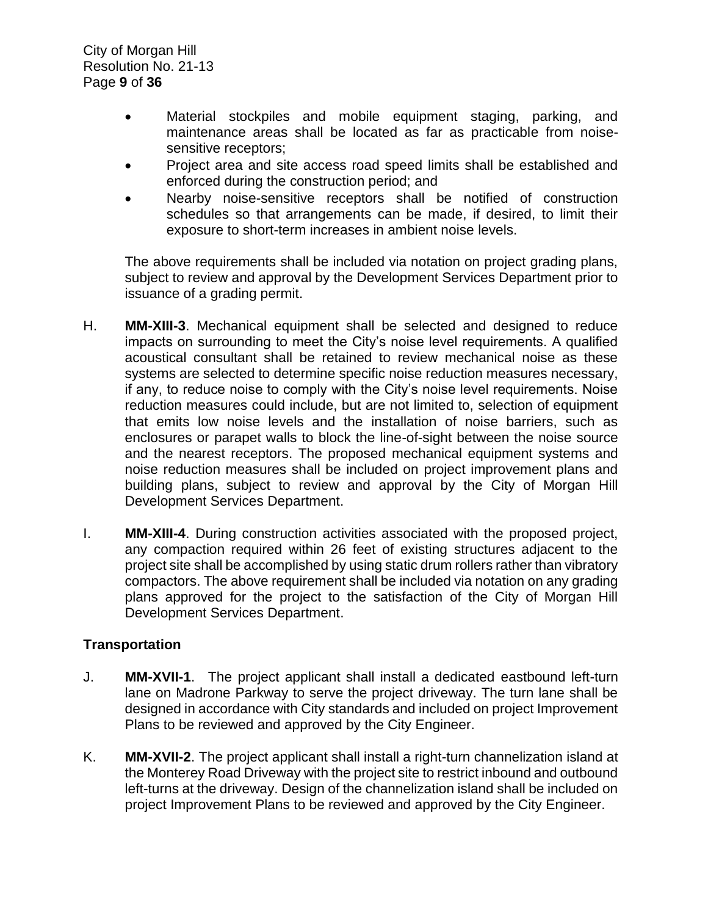City of Morgan Hill Resolution No. 21-13 Page **9** of **36**

- Material stockpiles and mobile equipment staging, parking, and maintenance areas shall be located as far as practicable from noisesensitive receptors;
- Project area and site access road speed limits shall be established and enforced during the construction period; and
- Nearby noise-sensitive receptors shall be notified of construction schedules so that arrangements can be made, if desired, to limit their exposure to short-term increases in ambient noise levels.

The above requirements shall be included via notation on project grading plans, subject to review and approval by the Development Services Department prior to issuance of a grading permit.

- H. **MM-XIII-3**. Mechanical equipment shall be selected and designed to reduce impacts on surrounding to meet the City's noise level requirements. A qualified acoustical consultant shall be retained to review mechanical noise as these systems are selected to determine specific noise reduction measures necessary, if any, to reduce noise to comply with the City's noise level requirements. Noise reduction measures could include, but are not limited to, selection of equipment that emits low noise levels and the installation of noise barriers, such as enclosures or parapet walls to block the line-of-sight between the noise source and the nearest receptors. The proposed mechanical equipment systems and noise reduction measures shall be included on project improvement plans and building plans, subject to review and approval by the City of Morgan Hill Development Services Department.
- I. **MM-XIII-4**. During construction activities associated with the proposed project, any compaction required within 26 feet of existing structures adjacent to the project site shall be accomplished by using static drum rollers rather than vibratory compactors. The above requirement shall be included via notation on any grading plans approved for the project to the satisfaction of the City of Morgan Hill Development Services Department.

#### **Transportation**

- J. **MM-XVII-1**. The project applicant shall install a dedicated eastbound left-turn lane on Madrone Parkway to serve the project driveway. The turn lane shall be designed in accordance with City standards and included on project Improvement Plans to be reviewed and approved by the City Engineer.
- K. **MM-XVII-2**. The project applicant shall install a right-turn channelization island at the Monterey Road Driveway with the project site to restrict inbound and outbound left-turns at the driveway. Design of the channelization island shall be included on project Improvement Plans to be reviewed and approved by the City Engineer.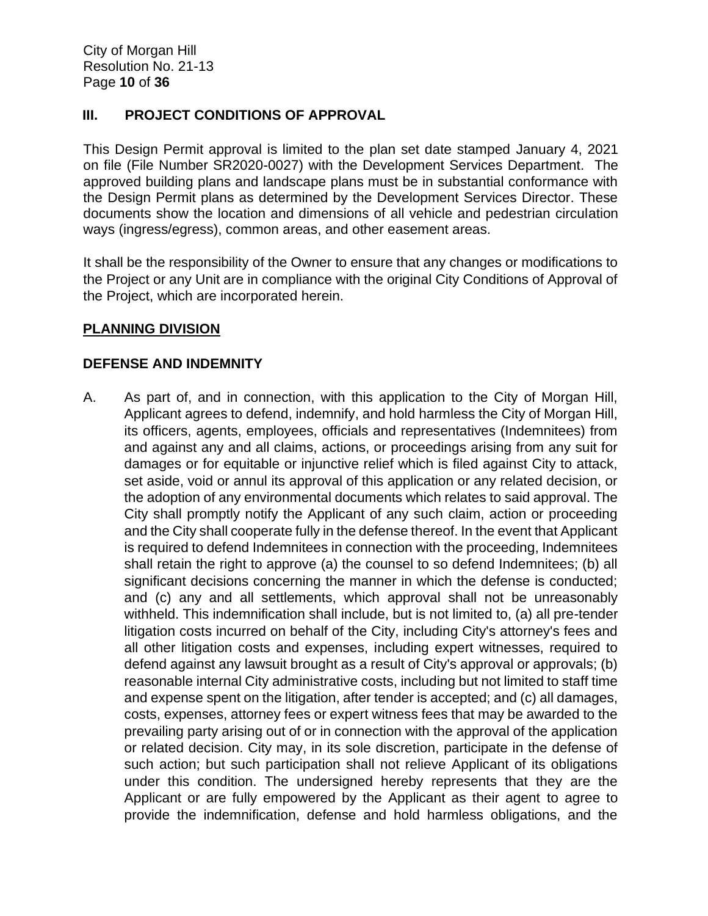#### **III. PROJECT CONDITIONS OF APPROVAL**

This Design Permit approval is limited to the plan set date stamped January 4, 2021 on file (File Number SR2020-0027) with the Development Services Department. The approved building plans and landscape plans must be in substantial conformance with the Design Permit plans as determined by the Development Services Director. These documents show the location and dimensions of all vehicle and pedestrian circulation ways (ingress/egress), common areas, and other easement areas.

It shall be the responsibility of the Owner to ensure that any changes or modifications to the Project or any Unit are in compliance with the original City Conditions of Approval of the Project, which are incorporated herein.

# **PLANNING DIVISION**

#### **DEFENSE AND INDEMNITY**

A. As part of, and in connection, with this application to the City of Morgan Hill, Applicant agrees to defend, indemnify, and hold harmless the City of Morgan Hill, its officers, agents, employees, officials and representatives (Indemnitees) from and against any and all claims, actions, or proceedings arising from any suit for damages or for equitable or injunctive relief which is filed against City to attack, set aside, void or annul its approval of this application or any related decision, or the adoption of any environmental documents which relates to said approval. The City shall promptly notify the Applicant of any such claim, action or proceeding and the City shall cooperate fully in the defense thereof. In the event that Applicant is required to defend Indemnitees in connection with the proceeding, Indemnitees shall retain the right to approve (a) the counsel to so defend Indemnitees; (b) all significant decisions concerning the manner in which the defense is conducted; and (c) any and all settlements, which approval shall not be unreasonably withheld. This indemnification shall include, but is not limited to, (a) all pre-tender litigation costs incurred on behalf of the City, including City's attorney's fees and all other litigation costs and expenses, including expert witnesses, required to defend against any lawsuit brought as a result of City's approval or approvals; (b) reasonable internal City administrative costs, including but not limited to staff time and expense spent on the litigation, after tender is accepted; and (c) all damages, costs, expenses, attorney fees or expert witness fees that may be awarded to the prevailing party arising out of or in connection with the approval of the application or related decision. City may, in its sole discretion, participate in the defense of such action; but such participation shall not relieve Applicant of its obligations under this condition. The undersigned hereby represents that they are the Applicant or are fully empowered by the Applicant as their agent to agree to provide the indemnification, defense and hold harmless obligations, and the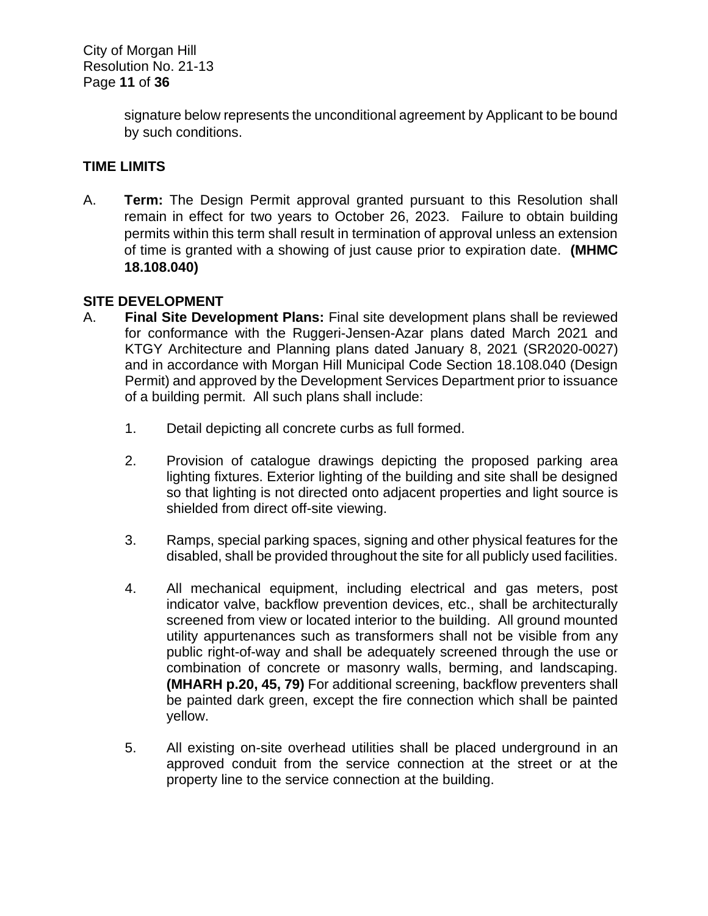signature below represents the unconditional agreement by Applicant to be bound by such conditions.

# **TIME LIMITS**

A. **Term:** The Design Permit approval granted pursuant to this Resolution shall remain in effect for two years to October 26, 2023. Failure to obtain building permits within this term shall result in termination of approval unless an extension of time is granted with a showing of just cause prior to expiration date. **(MHMC 18.108.040)** 

# **SITE DEVELOPMENT**

- A. **Final Site Development Plans:** Final site development plans shall be reviewed for conformance with the Ruggeri-Jensen-Azar plans dated March 2021 and KTGY Architecture and Planning plans dated January 8, 2021 (SR2020-0027) and in accordance with Morgan Hill Municipal Code Section 18.108.040 (Design Permit) and approved by the Development Services Department prior to issuance of a building permit. All such plans shall include:
	- 1. Detail depicting all concrete curbs as full formed.
	- 2. Provision of catalogue drawings depicting the proposed parking area lighting fixtures. Exterior lighting of the building and site shall be designed so that lighting is not directed onto adjacent properties and light source is shielded from direct off-site viewing.
	- 3. Ramps, special parking spaces, signing and other physical features for the disabled, shall be provided throughout the site for all publicly used facilities.
	- 4. All mechanical equipment, including electrical and gas meters, post indicator valve, backflow prevention devices, etc., shall be architecturally screened from view or located interior to the building. All ground mounted utility appurtenances such as transformers shall not be visible from any public right-of-way and shall be adequately screened through the use or combination of concrete or masonry walls, berming, and landscaping. **(MHARH p.20, 45, 79)** For additional screening, backflow preventers shall be painted dark green, except the fire connection which shall be painted yellow.
	- 5. All existing on-site overhead utilities shall be placed underground in an approved conduit from the service connection at the street or at the property line to the service connection at the building.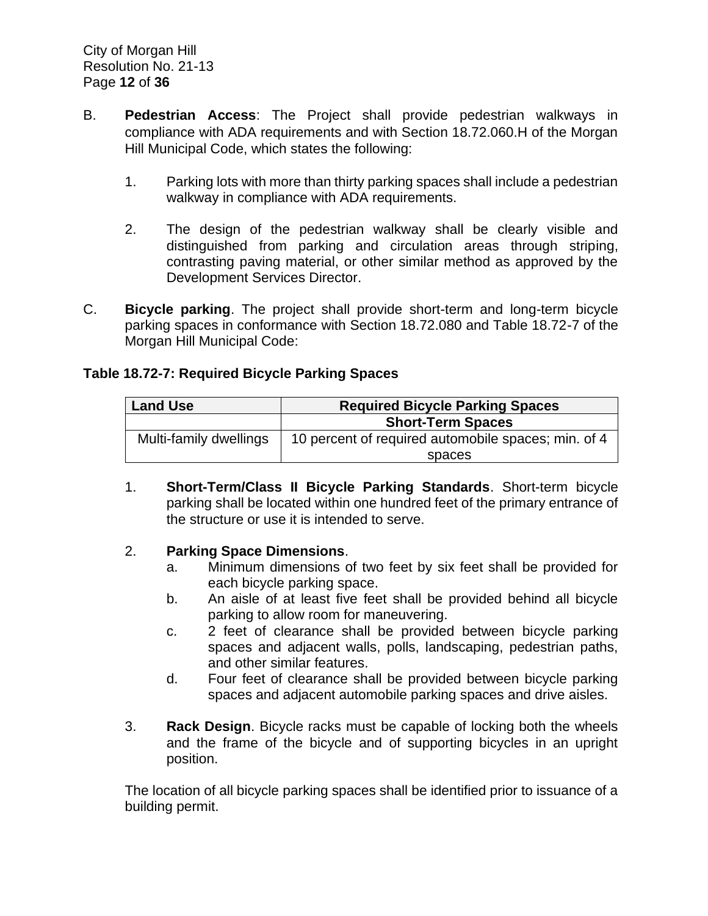- B. **Pedestrian Access**: The Project shall provide pedestrian walkways in compliance with ADA requirements and with Section 18.72.060.H of the Morgan Hill Municipal Code, which states the following:
	- 1. Parking lots with more than thirty parking spaces shall include a pedestrian walkway in compliance with ADA requirements.
	- 2. The design of the pedestrian walkway shall be clearly visible and distinguished from parking and circulation areas through striping, contrasting paving material, or other similar method as approved by the Development Services Director.
- C. **Bicycle parking**. The project shall provide short-term and long-term bicycle parking spaces in conformance with Section 18.72.080 and Table 18.72-7 of the Morgan Hill Municipal Code:

# **Table 18.72-7: Required Bicycle Parking Spaces**

| <b>Land Use</b>        | <b>Required Bicycle Parking Spaces</b>              |  |  |
|------------------------|-----------------------------------------------------|--|--|
|                        | <b>Short-Term Spaces</b>                            |  |  |
| Multi-family dwellings | 10 percent of required automobile spaces; min. of 4 |  |  |
|                        | spaces                                              |  |  |

1. **Short-Term/Class II Bicycle Parking Standards**. Short-term bicycle parking shall be located within one hundred feet of the primary entrance of the structure or use it is intended to serve.

# 2. **Parking Space Dimensions**.

- a. Minimum dimensions of two feet by six feet shall be provided for each bicycle parking space.
- b. An aisle of at least five feet shall be provided behind all bicycle parking to allow room for maneuvering.
- c. 2 feet of clearance shall be provided between bicycle parking spaces and adjacent walls, polls, landscaping, pedestrian paths, and other similar features.
- d. Four feet of clearance shall be provided between bicycle parking spaces and adjacent automobile parking spaces and drive aisles.
- 3. **Rack Design**. Bicycle racks must be capable of locking both the wheels and the frame of the bicycle and of supporting bicycles in an upright position.

The location of all bicycle parking spaces shall be identified prior to issuance of a building permit.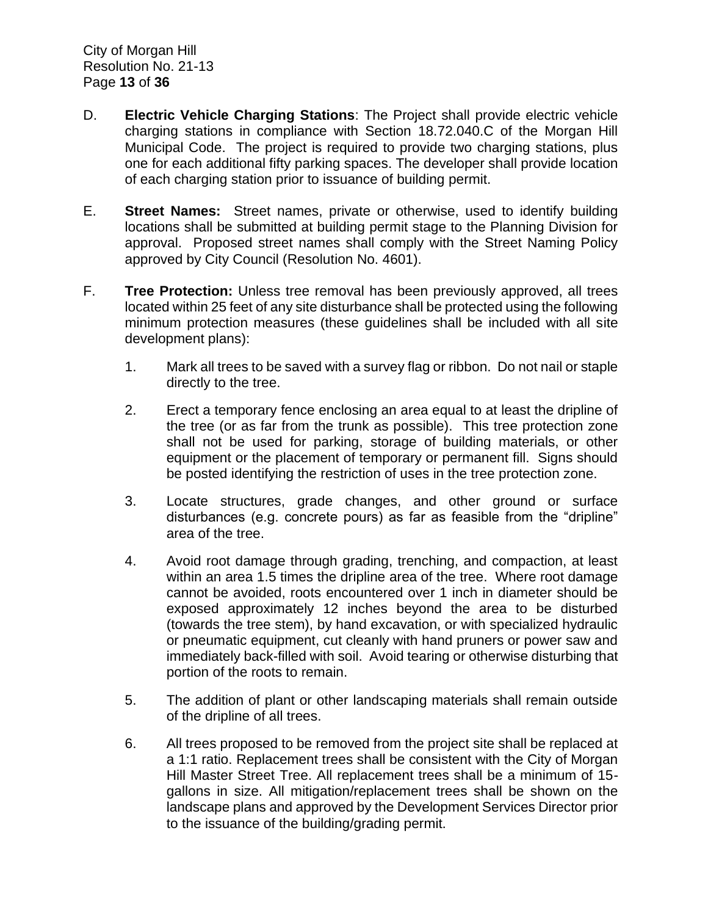- D. **Electric Vehicle Charging Stations**: The Project shall provide electric vehicle charging stations in compliance with Section 18.72.040.C of the Morgan Hill Municipal Code. The project is required to provide two charging stations, plus one for each additional fifty parking spaces. The developer shall provide location of each charging station prior to issuance of building permit.
- E. **Street Names:** Street names, private or otherwise, used to identify building locations shall be submitted at building permit stage to the Planning Division for approval. Proposed street names shall comply with the Street Naming Policy approved by City Council (Resolution No. 4601).
- F. **Tree Protection:** Unless tree removal has been previously approved, all trees located within 25 feet of any site disturbance shall be protected using the following minimum protection measures (these guidelines shall be included with all site development plans):
	- 1. Mark all trees to be saved with a survey flag or ribbon. Do not nail or staple directly to the tree.
	- 2. Erect a temporary fence enclosing an area equal to at least the dripline of the tree (or as far from the trunk as possible). This tree protection zone shall not be used for parking, storage of building materials, or other equipment or the placement of temporary or permanent fill. Signs should be posted identifying the restriction of uses in the tree protection zone.
	- 3. Locate structures, grade changes, and other ground or surface disturbances (e.g. concrete pours) as far as feasible from the "dripline" area of the tree.
	- 4. Avoid root damage through grading, trenching, and compaction, at least within an area 1.5 times the dripline area of the tree. Where root damage cannot be avoided, roots encountered over 1 inch in diameter should be exposed approximately 12 inches beyond the area to be disturbed (towards the tree stem), by hand excavation, or with specialized hydraulic or pneumatic equipment, cut cleanly with hand pruners or power saw and immediately back-filled with soil. Avoid tearing or otherwise disturbing that portion of the roots to remain.
	- 5. The addition of plant or other landscaping materials shall remain outside of the dripline of all trees.
	- 6. All trees proposed to be removed from the project site shall be replaced at a 1:1 ratio. Replacement trees shall be consistent with the City of Morgan Hill Master Street Tree. All replacement trees shall be a minimum of 15 gallons in size. All mitigation/replacement trees shall be shown on the landscape plans and approved by the Development Services Director prior to the issuance of the building/grading permit.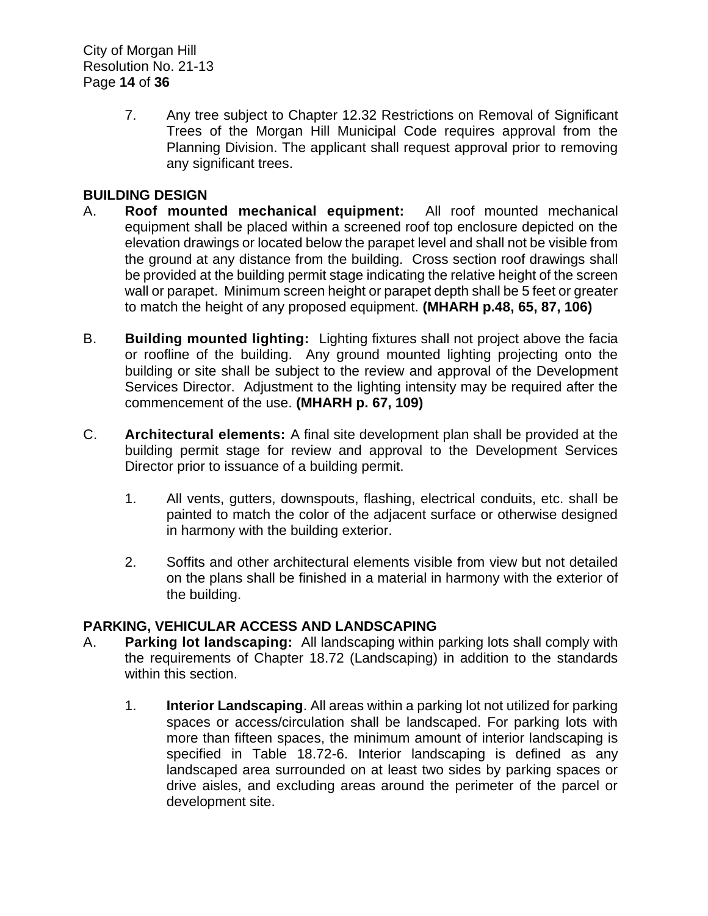City of Morgan Hill Resolution No. 21-13 Page **14** of **36**

> 7. Any tree subject to Chapter 12.32 Restrictions on Removal of Significant Trees of the Morgan Hill Municipal Code requires approval from the Planning Division. The applicant shall request approval prior to removing any significant trees.

# **BUILDING DESIGN**

- A. **Roof mounted mechanical equipment:** All roof mounted mechanical equipment shall be placed within a screened roof top enclosure depicted on the elevation drawings or located below the parapet level and shall not be visible from the ground at any distance from the building. Cross section roof drawings shall be provided at the building permit stage indicating the relative height of the screen wall or parapet. Minimum screen height or parapet depth shall be 5 feet or greater to match the height of any proposed equipment. **(MHARH p.48, 65, 87, 106)**
- B. **Building mounted lighting:** Lighting fixtures shall not project above the facia or roofline of the building. Any ground mounted lighting projecting onto the building or site shall be subject to the review and approval of the Development Services Director. Adjustment to the lighting intensity may be required after the commencement of the use. **(MHARH p. 67, 109)**
- C. **Architectural elements:** A final site development plan shall be provided at the building permit stage for review and approval to the Development Services Director prior to issuance of a building permit.
	- 1. All vents, gutters, downspouts, flashing, electrical conduits, etc. shall be painted to match the color of the adjacent surface or otherwise designed in harmony with the building exterior.
	- 2. Soffits and other architectural elements visible from view but not detailed on the plans shall be finished in a material in harmony with the exterior of the building.

# **PARKING, VEHICULAR ACCESS AND LANDSCAPING**

- A. **Parking lot landscaping:** All landscaping within parking lots shall comply with the requirements of Chapter 18.72 (Landscaping) in addition to the standards within this section.
	- 1. **Interior Landscaping**. All areas within a parking lot not utilized for parking spaces or access/circulation shall be landscaped. For parking lots with more than fifteen spaces, the minimum amount of interior landscaping is specified in Table 18.72-6. Interior landscaping is defined as any landscaped area surrounded on at least two sides by parking spaces or drive aisles, and excluding areas around the perimeter of the parcel or development site.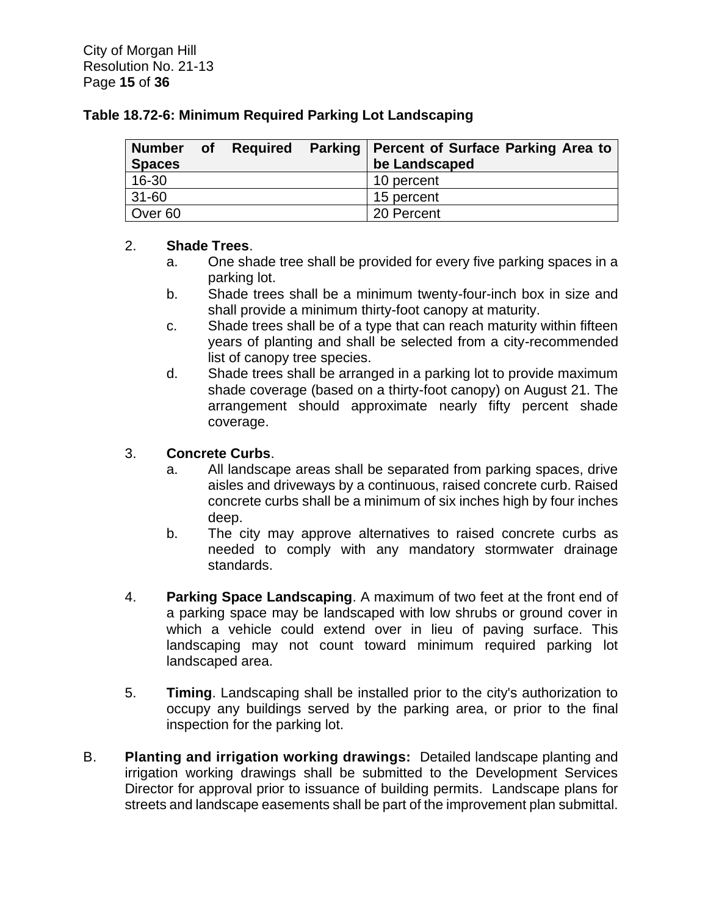#### **Table 18.72-6: Minimum Required Parking Lot Landscaping**

| <b>Number</b> | <b>of</b> |  | Required Parking   Percent of Surface Parking Area to |
|---------------|-----------|--|-------------------------------------------------------|
| <b>Spaces</b> |           |  | be Landscaped                                         |
| 16-30         |           |  | 10 percent                                            |
| 31-60         |           |  | 15 percent                                            |
| Over 60       |           |  | 20 Percent                                            |

# 2. **Shade Trees**.

- a. One shade tree shall be provided for every five parking spaces in a parking lot.
- b. Shade trees shall be a minimum twenty-four-inch box in size and shall provide a minimum thirty-foot canopy at maturity.
- c. Shade trees shall be of a type that can reach maturity within fifteen years of planting and shall be selected from a city-recommended list of canopy tree species.
- d. Shade trees shall be arranged in a parking lot to provide maximum shade coverage (based on a thirty-foot canopy) on August 21. The arrangement should approximate nearly fifty percent shade coverage.

# 3. **Concrete Curbs**.

- a. All landscape areas shall be separated from parking spaces, drive aisles and driveways by a continuous, raised concrete curb. Raised concrete curbs shall be a minimum of six inches high by four inches deep.
- b. The city may approve alternatives to raised concrete curbs as needed to comply with any mandatory stormwater drainage standards.
- 4. **Parking Space Landscaping**. A maximum of two feet at the front end of a parking space may be landscaped with low shrubs or ground cover in which a vehicle could extend over in lieu of paving surface. This landscaping may not count toward minimum required parking lot landscaped area.
- 5. **Timing**. Landscaping shall be installed prior to the city's authorization to occupy any buildings served by the parking area, or prior to the final inspection for the parking lot.
- B. **Planting and irrigation working drawings:** Detailed landscape planting and irrigation working drawings shall be submitted to the Development Services Director for approval prior to issuance of building permits. Landscape plans for streets and landscape easements shall be part of the improvement plan submittal.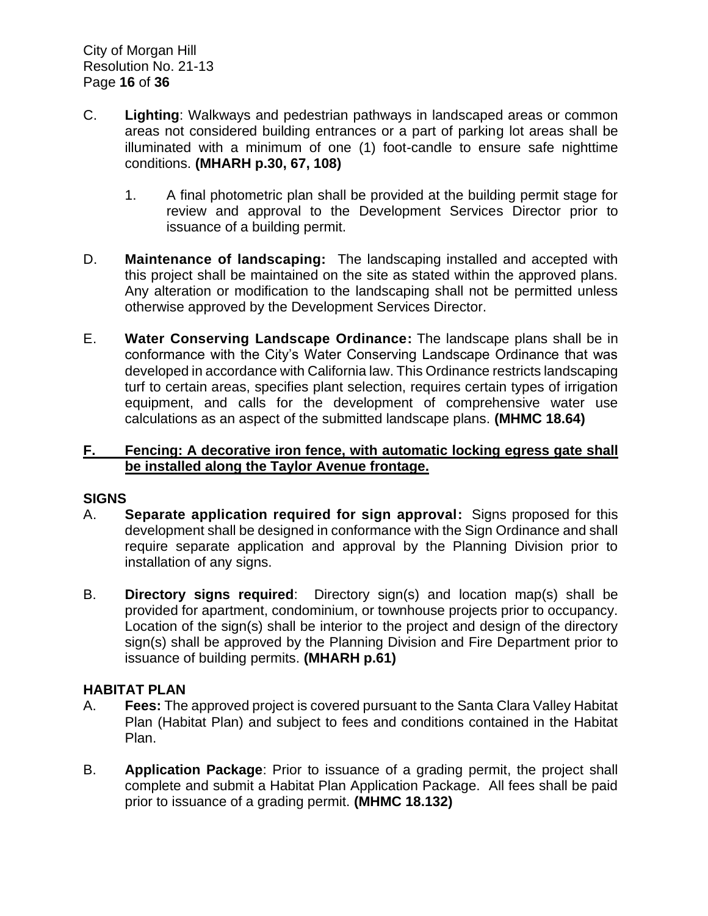- C. **Lighting**: Walkways and pedestrian pathways in landscaped areas or common areas not considered building entrances or a part of parking lot areas shall be illuminated with a minimum of one (1) foot-candle to ensure safe nighttime conditions. **(MHARH p.30, 67, 108)**
	- 1. A final photometric plan shall be provided at the building permit stage for review and approval to the Development Services Director prior to issuance of a building permit.
- D. **Maintenance of landscaping:** The landscaping installed and accepted with this project shall be maintained on the site as stated within the approved plans. Any alteration or modification to the landscaping shall not be permitted unless otherwise approved by the Development Services Director.
- E. **Water Conserving Landscape Ordinance:** The landscape plans shall be in conformance with the City's Water Conserving Landscape Ordinance that was developed in accordance with California law. This Ordinance restricts landscaping turf to certain areas, specifies plant selection, requires certain types of irrigation equipment, and calls for the development of comprehensive water use calculations as an aspect of the submitted landscape plans. **(MHMC 18.64)**

#### **F. Fencing: A decorative iron fence, with automatic locking egress gate shall be installed along the Taylor Avenue frontage.**

#### **SIGNS**

- A. **Separate application required for sign approval:** Signs proposed for this development shall be designed in conformance with the Sign Ordinance and shall require separate application and approval by the Planning Division prior to installation of any signs.
- B. **Directory signs required**: Directory sign(s) and location map(s) shall be provided for apartment, condominium, or townhouse projects prior to occupancy. Location of the sign(s) shall be interior to the project and design of the directory sign(s) shall be approved by the Planning Division and Fire Department prior to issuance of building permits. **(MHARH p.61)**

# **HABITAT PLAN**

- A. **Fees:** The approved project is covered pursuant to the Santa Clara Valley Habitat Plan (Habitat Plan) and subject to fees and conditions contained in the Habitat Plan.
- B. **Application Package**: Prior to issuance of a grading permit, the project shall complete and submit a Habitat Plan Application Package. All fees shall be paid prior to issuance of a grading permit. **(MHMC 18.132)**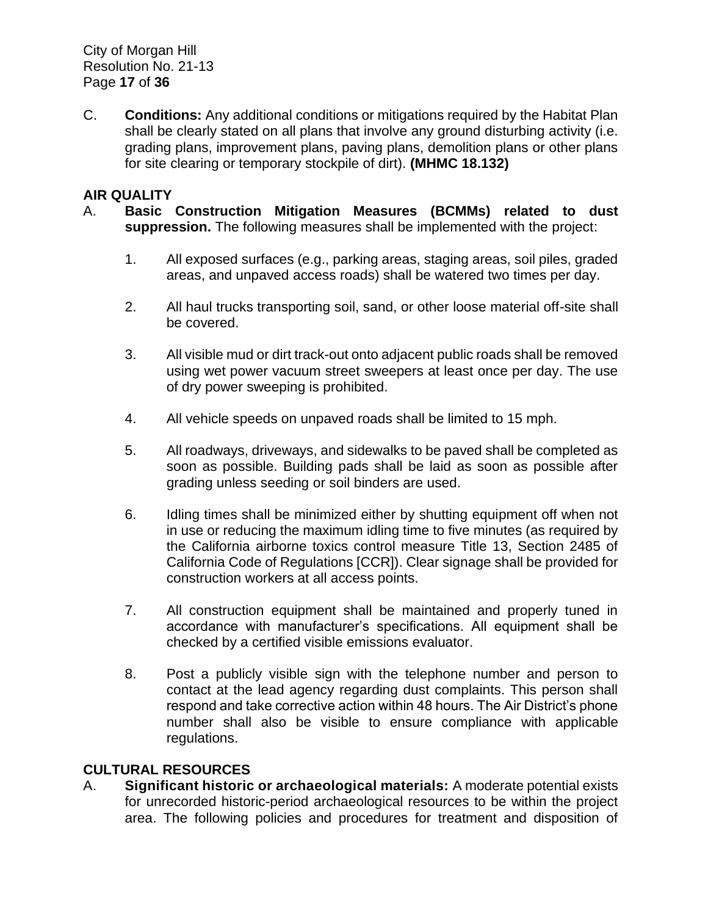City of Morgan Hill Resolution No. 21-13 Page **17** of **36**

C. **Conditions:** Any additional conditions or mitigations required by the Habitat Plan shall be clearly stated on all plans that involve any ground disturbing activity (i.e. grading plans, improvement plans, paving plans, demolition plans or other plans for site clearing or temporary stockpile of dirt). **(MHMC 18.132)**

#### **AIR QUALITY**

- A. **Basic Construction Mitigation Measures (BCMMs) related to dust suppression.** The following measures shall be implemented with the project:
	- 1. All exposed surfaces (e.g., parking areas, staging areas, soil piles, graded areas, and unpaved access roads) shall be watered two times per day.
	- 2. All haul trucks transporting soil, sand, or other loose material off-site shall be covered.
	- 3. All visible mud or dirt track-out onto adjacent public roads shall be removed using wet power vacuum street sweepers at least once per day. The use of dry power sweeping is prohibited.
	- 4. All vehicle speeds on unpaved roads shall be limited to 15 mph.
	- 5. All roadways, driveways, and sidewalks to be paved shall be completed as soon as possible. Building pads shall be laid as soon as possible after grading unless seeding or soil binders are used.
	- 6. Idling times shall be minimized either by shutting equipment off when not in use or reducing the maximum idling time to five minutes (as required by the California airborne toxics control measure Title 13, Section 2485 of California Code of Regulations [CCR]). Clear signage shall be provided for construction workers at all access points.
	- 7. All construction equipment shall be maintained and properly tuned in accordance with manufacturer's specifications. All equipment shall be checked by a certified visible emissions evaluator.
	- 8. Post a publicly visible sign with the telephone number and person to contact at the lead agency regarding dust complaints. This person shall respond and take corrective action within 48 hours. The Air District's phone number shall also be visible to ensure compliance with applicable regulations.

# **CULTURAL RESOURCES**

A. **Significant historic or archaeological materials:** A moderate potential exists for unrecorded historic-period archaeological resources to be within the project area. The following policies and procedures for treatment and disposition of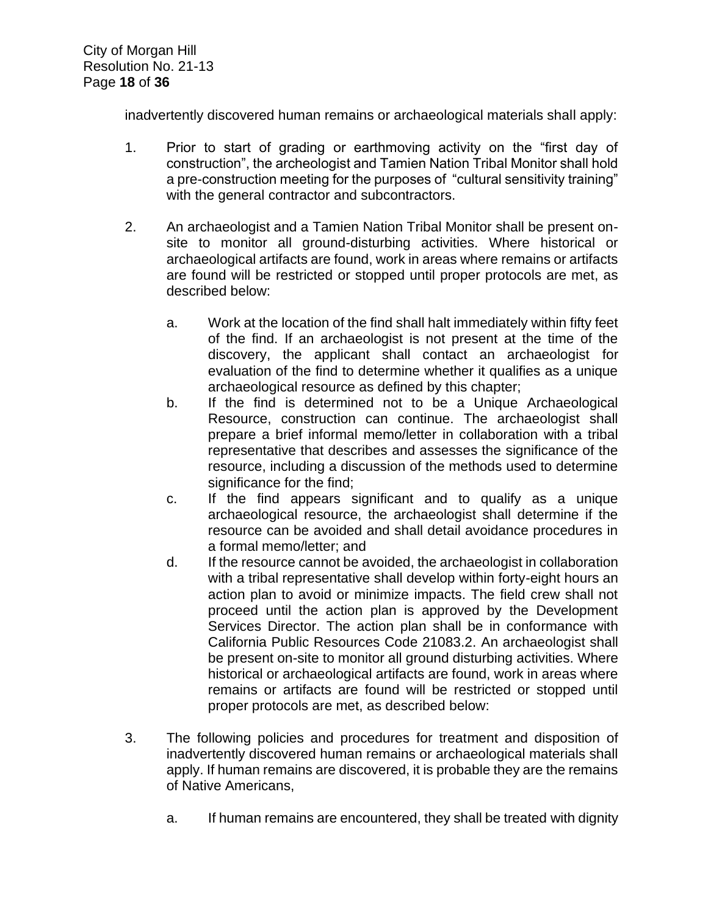inadvertently discovered human remains or archaeological materials shall apply:

- 1. Prior to start of grading or earthmoving activity on the "first day of construction", the archeologist and Tamien Nation Tribal Monitor shall hold a pre-construction meeting for the purposes of "cultural sensitivity training" with the general contractor and subcontractors.
- 2. An archaeologist and a Tamien Nation Tribal Monitor shall be present onsite to monitor all ground-disturbing activities. Where historical or archaeological artifacts are found, work in areas where remains or artifacts are found will be restricted or stopped until proper protocols are met, as described below:
	- a. Work at the location of the find shall halt immediately within fifty feet of the find. If an archaeologist is not present at the time of the discovery, the applicant shall contact an archaeologist for evaluation of the find to determine whether it qualifies as a unique archaeological resource as defined by this chapter;
	- b. If the find is determined not to be a Unique Archaeological Resource, construction can continue. The archaeologist shall prepare a brief informal memo/letter in collaboration with a tribal representative that describes and assesses the significance of the resource, including a discussion of the methods used to determine significance for the find;
	- c. If the find appears significant and to qualify as a unique archaeological resource, the archaeologist shall determine if the resource can be avoided and shall detail avoidance procedures in a formal memo/letter; and
	- d. If the resource cannot be avoided, the archaeologist in collaboration with a tribal representative shall develop within forty-eight hours an action plan to avoid or minimize impacts. The field crew shall not proceed until the action plan is approved by the Development Services Director. The action plan shall be in conformance with California Public Resources Code 21083.2. An archaeologist shall be present on-site to monitor all ground disturbing activities. Where historical or archaeological artifacts are found, work in areas where remains or artifacts are found will be restricted or stopped until proper protocols are met, as described below:
- 3. The following policies and procedures for treatment and disposition of inadvertently discovered human remains or archaeological materials shall apply. If human remains are discovered, it is probable they are the remains of Native Americans,
	- a. If human remains are encountered, they shall be treated with dignity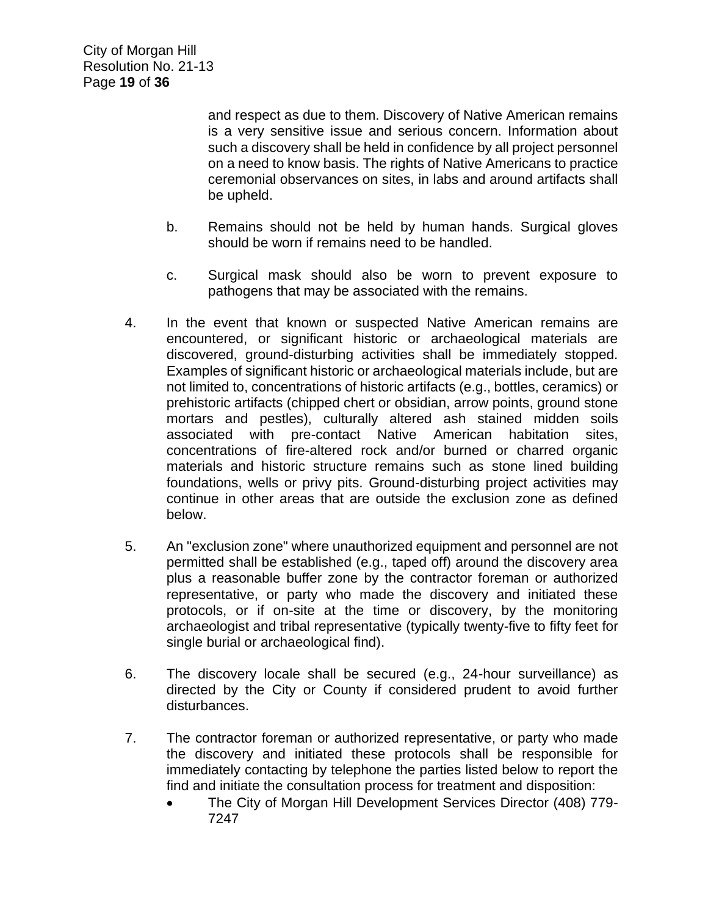and respect as due to them. Discovery of Native American remains is a very sensitive issue and serious concern. Information about such a discovery shall be held in confidence by all project personnel on a need to know basis. The rights of Native Americans to practice ceremonial observances on sites, in labs and around artifacts shall be upheld.

- b. Remains should not be held by human hands. Surgical gloves should be worn if remains need to be handled.
- c. Surgical mask should also be worn to prevent exposure to pathogens that may be associated with the remains.
- 4. In the event that known or suspected Native American remains are encountered, or significant historic or archaeological materials are discovered, ground-disturbing activities shall be immediately stopped. Examples of significant historic or archaeological materials include, but are not limited to, concentrations of historic artifacts (e.g., bottles, ceramics) or prehistoric artifacts (chipped chert or obsidian, arrow points, ground stone mortars and pestles), culturally altered ash stained midden soils associated with pre-contact Native American habitation sites, concentrations of fire-altered rock and/or burned or charred organic materials and historic structure remains such as stone lined building foundations, wells or privy pits. Ground-disturbing project activities may continue in other areas that are outside the exclusion zone as defined below.
- 5. An "exclusion zone" where unauthorized equipment and personnel are not permitted shall be established (e.g., taped off) around the discovery area plus a reasonable buffer zone by the contractor foreman or authorized representative, or party who made the discovery and initiated these protocols, or if on-site at the time or discovery, by the monitoring archaeologist and tribal representative (typically twenty-five to fifty feet for single burial or archaeological find).
- 6. The discovery locale shall be secured (e.g., 24-hour surveillance) as directed by the City or County if considered prudent to avoid further disturbances.
- 7. The contractor foreman or authorized representative, or party who made the discovery and initiated these protocols shall be responsible for immediately contacting by telephone the parties listed below to report the find and initiate the consultation process for treatment and disposition:
	- The City of Morgan Hill Development Services Director (408) 779-7247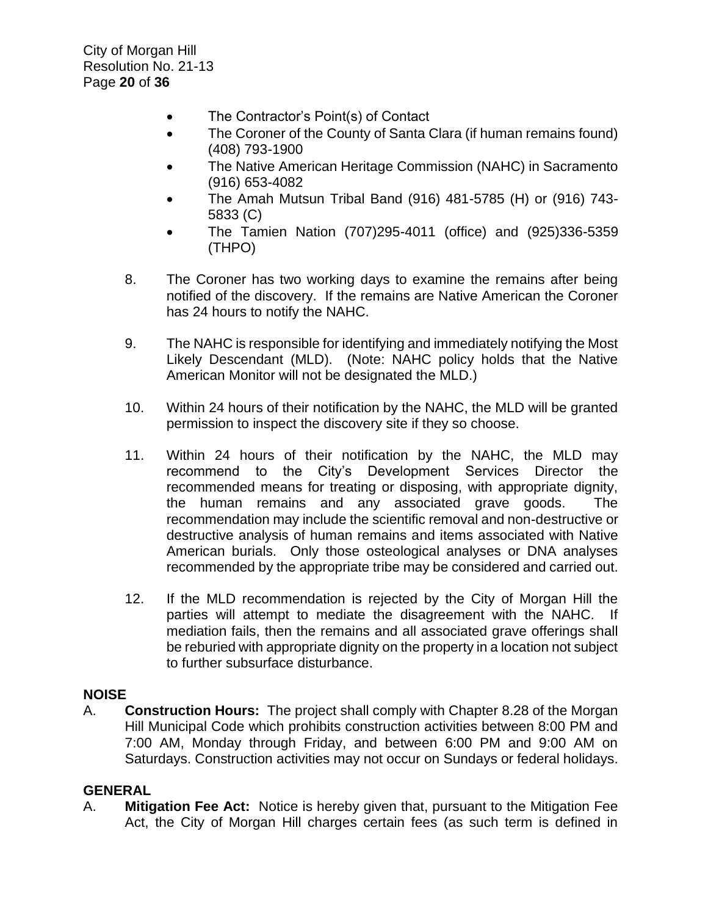City of Morgan Hill Resolution No. 21-13 Page **20** of **36**

- The Contractor's Point(s) of Contact
- The Coroner of the County of Santa Clara (if human remains found) (408) 793-1900
- The Native American Heritage Commission (NAHC) in Sacramento (916) 653-4082
- The Amah Mutsun Tribal Band (916) 481-5785 (H) or (916) 743- 5833 (C)
- The Tamien Nation (707)295-4011 (office) and (925)336-5359 (THPO)
- 8. The Coroner has two working days to examine the remains after being notified of the discovery. If the remains are Native American the Coroner has 24 hours to notify the NAHC.
- 9. The NAHC is responsible for identifying and immediately notifying the Most Likely Descendant (MLD). (Note: NAHC policy holds that the Native American Monitor will not be designated the MLD.)
- 10. Within 24 hours of their notification by the NAHC, the MLD will be granted permission to inspect the discovery site if they so choose.
- 11. Within 24 hours of their notification by the NAHC, the MLD may recommend to the City's Development Services Director the recommended means for treating or disposing, with appropriate dignity, the human remains and any associated grave goods. The recommendation may include the scientific removal and non-destructive or destructive analysis of human remains and items associated with Native American burials. Only those osteological analyses or DNA analyses recommended by the appropriate tribe may be considered and carried out.
- 12. If the MLD recommendation is rejected by the City of Morgan Hill the parties will attempt to mediate the disagreement with the NAHC. If mediation fails, then the remains and all associated grave offerings shall be reburied with appropriate dignity on the property in a location not subject to further subsurface disturbance.

#### **NOISE**

A. **Construction Hours:** The project shall comply with Chapter 8.28 of the Morgan Hill Municipal Code which prohibits construction activities between 8:00 PM and 7:00 AM, Monday through Friday, and between 6:00 PM and 9:00 AM on Saturdays. Construction activities may not occur on Sundays or federal holidays.

#### **GENERAL**

A. **Mitigation Fee Act:** Notice is hereby given that, pursuant to the Mitigation Fee Act, the City of Morgan Hill charges certain fees (as such term is defined in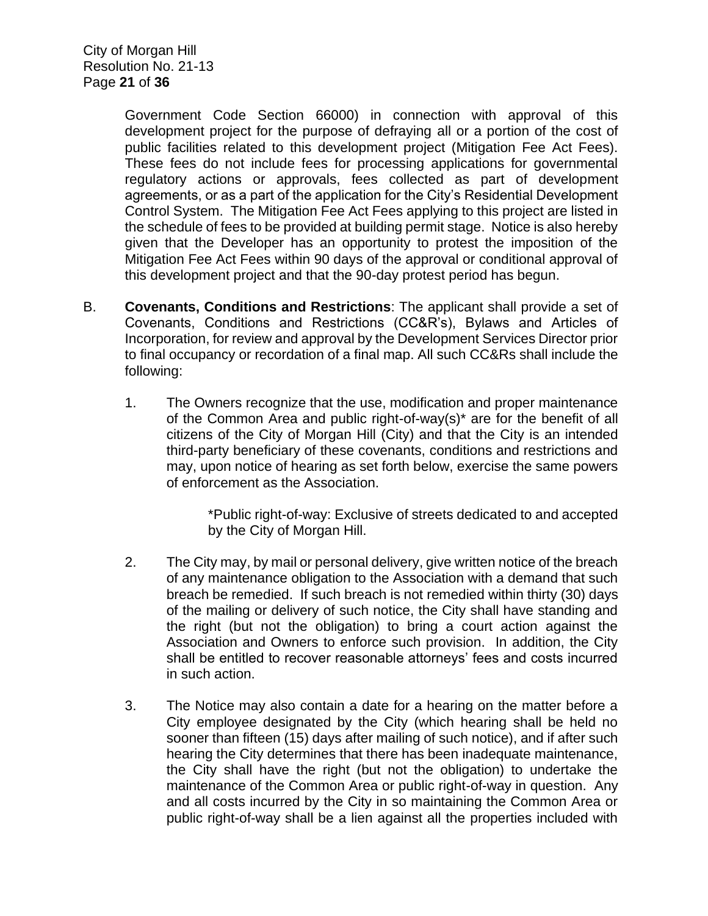City of Morgan Hill Resolution No. 21-13 Page **21** of **36**

> Government Code Section 66000) in connection with approval of this development project for the purpose of defraying all or a portion of the cost of public facilities related to this development project (Mitigation Fee Act Fees). These fees do not include fees for processing applications for governmental regulatory actions or approvals, fees collected as part of development agreements, or as a part of the application for the City's Residential Development Control System. The Mitigation Fee Act Fees applying to this project are listed in the schedule of fees to be provided at building permit stage. Notice is also hereby given that the Developer has an opportunity to protest the imposition of the Mitigation Fee Act Fees within 90 days of the approval or conditional approval of this development project and that the 90-day protest period has begun.

- B. **Covenants, Conditions and Restrictions**: The applicant shall provide a set of Covenants, Conditions and Restrictions (CC&R's), Bylaws and Articles of Incorporation, for review and approval by the Development Services Director prior to final occupancy or recordation of a final map. All such CC&Rs shall include the following:
	- 1. The Owners recognize that the use, modification and proper maintenance of the Common Area and public right-of-way(s)\* are for the benefit of all citizens of the City of Morgan Hill (City) and that the City is an intended third-party beneficiary of these covenants, conditions and restrictions and may, upon notice of hearing as set forth below, exercise the same powers of enforcement as the Association.

\*Public right-of-way: Exclusive of streets dedicated to and accepted by the City of Morgan Hill.

- 2. The City may, by mail or personal delivery, give written notice of the breach of any maintenance obligation to the Association with a demand that such breach be remedied. If such breach is not remedied within thirty (30) days of the mailing or delivery of such notice, the City shall have standing and the right (but not the obligation) to bring a court action against the Association and Owners to enforce such provision. In addition, the City shall be entitled to recover reasonable attorneys' fees and costs incurred in such action.
- 3. The Notice may also contain a date for a hearing on the matter before a City employee designated by the City (which hearing shall be held no sooner than fifteen (15) days after mailing of such notice), and if after such hearing the City determines that there has been inadequate maintenance, the City shall have the right (but not the obligation) to undertake the maintenance of the Common Area or public right-of-way in question. Any and all costs incurred by the City in so maintaining the Common Area or public right-of-way shall be a lien against all the properties included with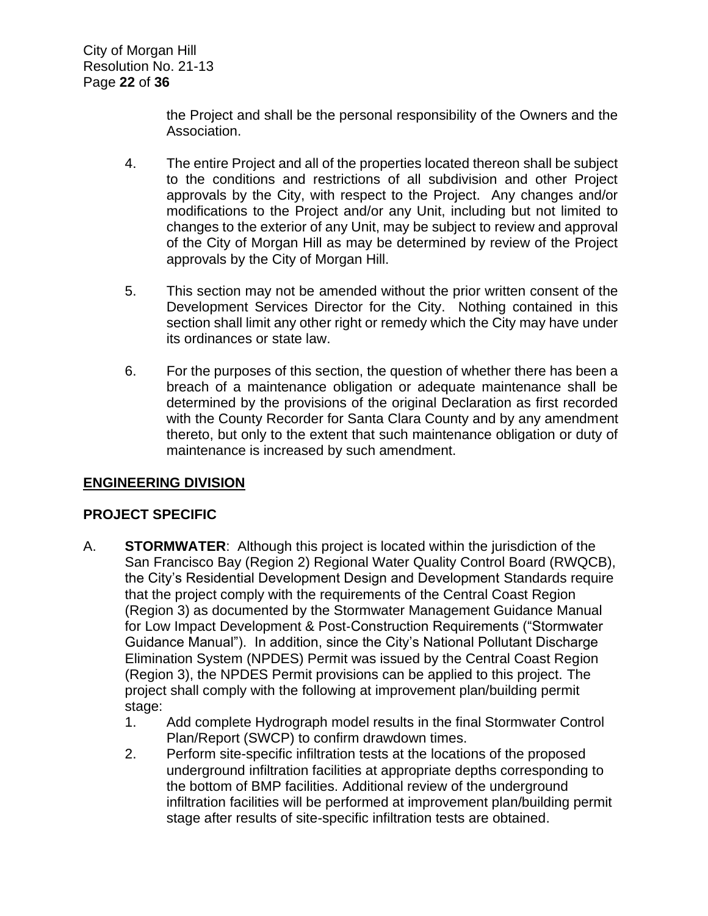the Project and shall be the personal responsibility of the Owners and the Association.

- 4. The entire Project and all of the properties located thereon shall be subject to the conditions and restrictions of all subdivision and other Project approvals by the City, with respect to the Project. Any changes and/or modifications to the Project and/or any Unit, including but not limited to changes to the exterior of any Unit, may be subject to review and approval of the City of Morgan Hill as may be determined by review of the Project approvals by the City of Morgan Hill.
- 5. This section may not be amended without the prior written consent of the Development Services Director for the City. Nothing contained in this section shall limit any other right or remedy which the City may have under its ordinances or state law.
- 6. For the purposes of this section, the question of whether there has been a breach of a maintenance obligation or adequate maintenance shall be determined by the provisions of the original Declaration as first recorded with the County Recorder for Santa Clara County and by any amendment thereto, but only to the extent that such maintenance obligation or duty of maintenance is increased by such amendment.

# **ENGINEERING DIVISION**

# **PROJECT SPECIFIC**

- A. **STORMWATER**:Although this project is located within the jurisdiction of the San Francisco Bay (Region 2) Regional Water Quality Control Board (RWQCB), the City's Residential Development Design and Development Standards require that the project comply with the requirements of the Central Coast Region (Region 3) as documented by the Stormwater Management Guidance Manual for Low Impact Development & Post‐Construction Requirements ("Stormwater Guidance Manual"). In addition, since the City's National Pollutant Discharge Elimination System (NPDES) Permit was issued by the Central Coast Region (Region 3), the NPDES Permit provisions can be applied to this project. The project shall comply with the following at improvement plan/building permit stage:
	- 1. Add complete Hydrograph model results in the final Stormwater Control Plan/Report (SWCP) to confirm drawdown times.
	- 2. Perform site-specific infiltration tests at the locations of the proposed underground infiltration facilities at appropriate depths corresponding to the bottom of BMP facilities. Additional review of the underground infiltration facilities will be performed at improvement plan/building permit stage after results of site-specific infiltration tests are obtained.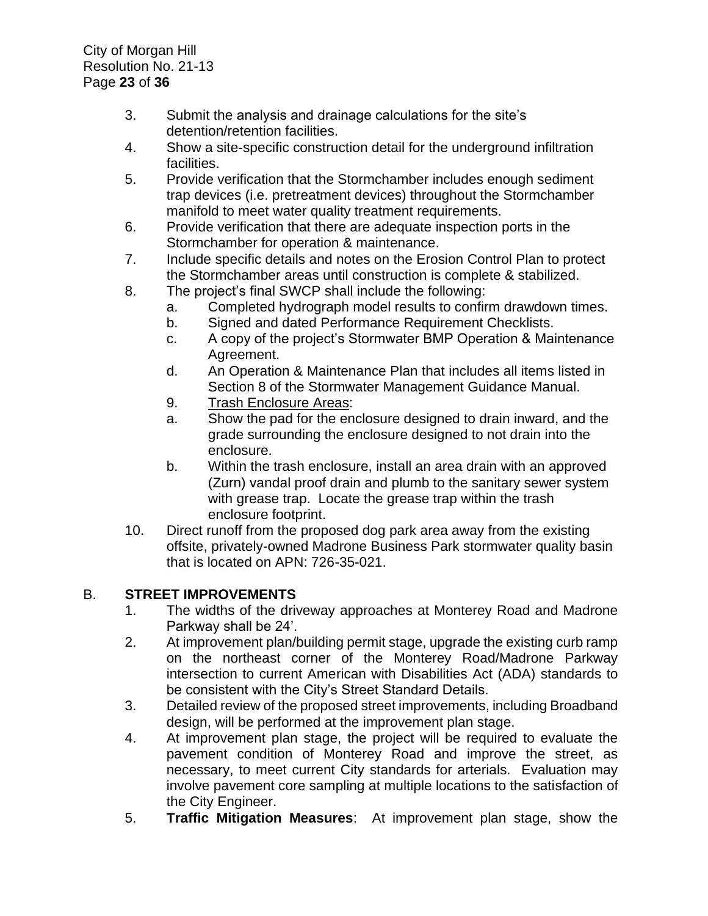- 3. Submit the analysis and drainage calculations for the site's detention/retention facilities.
- 4. Show a site-specific construction detail for the underground infiltration facilities.
- 5. Provide verification that the Stormchamber includes enough sediment trap devices (i.e. pretreatment devices) throughout the Stormchamber manifold to meet water quality treatment requirements.
- 6. Provide verification that there are adequate inspection ports in the Stormchamber for operation & maintenance.
- 7. Include specific details and notes on the Erosion Control Plan to protect the Stormchamber areas until construction is complete & stabilized.
- 8. The project's final SWCP shall include the following:
	- a. Completed hydrograph model results to confirm drawdown times.
	- b. Signed and dated Performance Requirement Checklists.
	- c. A copy of the project's Stormwater BMP Operation & Maintenance Agreement.
	- d. An Operation & Maintenance Plan that includes all items listed in Section 8 of the Stormwater Management Guidance Manual.
	- 9. Trash Enclosure Areas:
	- a. Show the pad for the enclosure designed to drain inward, and the grade surrounding the enclosure designed to not drain into the enclosure.
	- b. Within the trash enclosure, install an area drain with an approved (Zurn) vandal proof drain and plumb to the sanitary sewer system with grease trap. Locate the grease trap within the trash enclosure footprint.
- 10. Direct runoff from the proposed dog park area away from the existing offsite, privately-owned Madrone Business Park stormwater quality basin that is located on APN: 726-35-021.

# B. **STREET IMPROVEMENTS**

- 1. The widths of the driveway approaches at Monterey Road and Madrone Parkway shall be 24'.
- 2. At improvement plan/building permit stage, upgrade the existing curb ramp on the northeast corner of the Monterey Road/Madrone Parkway intersection to current American with Disabilities Act (ADA) standards to be consistent with the City's Street Standard Details.
- 3. Detailed review of the proposed street improvements, including Broadband design, will be performed at the improvement plan stage.
- 4. At improvement plan stage, the project will be required to evaluate the pavement condition of Monterey Road and improve the street, as necessary, to meet current City standards for arterials. Evaluation may involve pavement core sampling at multiple locations to the satisfaction of the City Engineer.
- 5. **Traffic Mitigation Measures**: At improvement plan stage, show the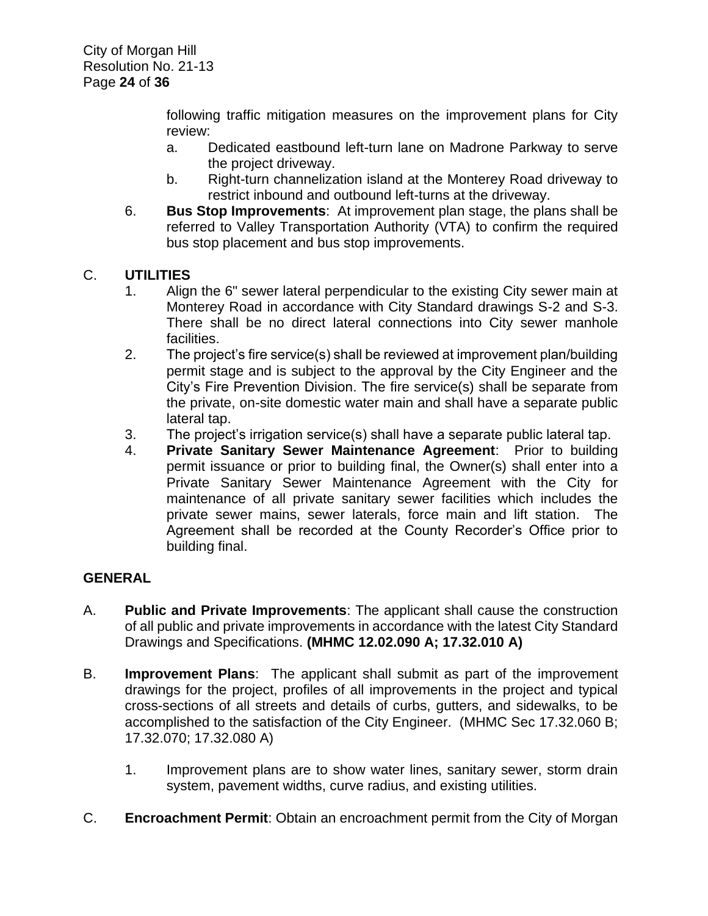following traffic mitigation measures on the improvement plans for City review:

- a. Dedicated eastbound left-turn lane on Madrone Parkway to serve the project driveway.
- b. Right-turn channelization island at the Monterey Road driveway to restrict inbound and outbound left-turns at the driveway.
- 6. **Bus Stop Improvements**: At improvement plan stage, the plans shall be referred to Valley Transportation Authority (VTA) to confirm the required bus stop placement and bus stop improvements.

# C. **UTILITIES**

- 1. Align the 6" sewer lateral perpendicular to the existing City sewer main at Monterey Road in accordance with City Standard drawings S-2 and S-3. There shall be no direct lateral connections into City sewer manhole facilities.
- 2. The project's fire service(s) shall be reviewed at improvement plan/building permit stage and is subject to the approval by the City Engineer and the City's Fire Prevention Division. The fire service(s) shall be separate from the private, on-site domestic water main and shall have a separate public lateral tap.
- 3. The project's irrigation service(s) shall have a separate public lateral tap.
- 4. **Private Sanitary Sewer Maintenance Agreement**: Prior to building permit issuance or prior to building final, the Owner(s) shall enter into a Private Sanitary Sewer Maintenance Agreement with the City for maintenance of all private sanitary sewer facilities which includes the private sewer mains, sewer laterals, force main and lift station. The Agreement shall be recorded at the County Recorder's Office prior to building final.

# **GENERAL**

- A. **Public and Private Improvements**: The applicant shall cause the construction of all public and private improvements in accordance with the latest City Standard Drawings and Specifications. **(MHMC 12.02.090 A; 17.32.010 A)**
- B. **Improvement Plans**: The applicant shall submit as part of the improvement drawings for the project, profiles of all improvements in the project and typical cross-sections of all streets and details of curbs, gutters, and sidewalks, to be accomplished to the satisfaction of the City Engineer. (MHMC Sec 17.32.060 B; 17.32.070; 17.32.080 A)
	- 1. Improvement plans are to show water lines, sanitary sewer, storm drain system, pavement widths, curve radius, and existing utilities.
- C. **Encroachment Permit**: Obtain an encroachment permit from the City of Morgan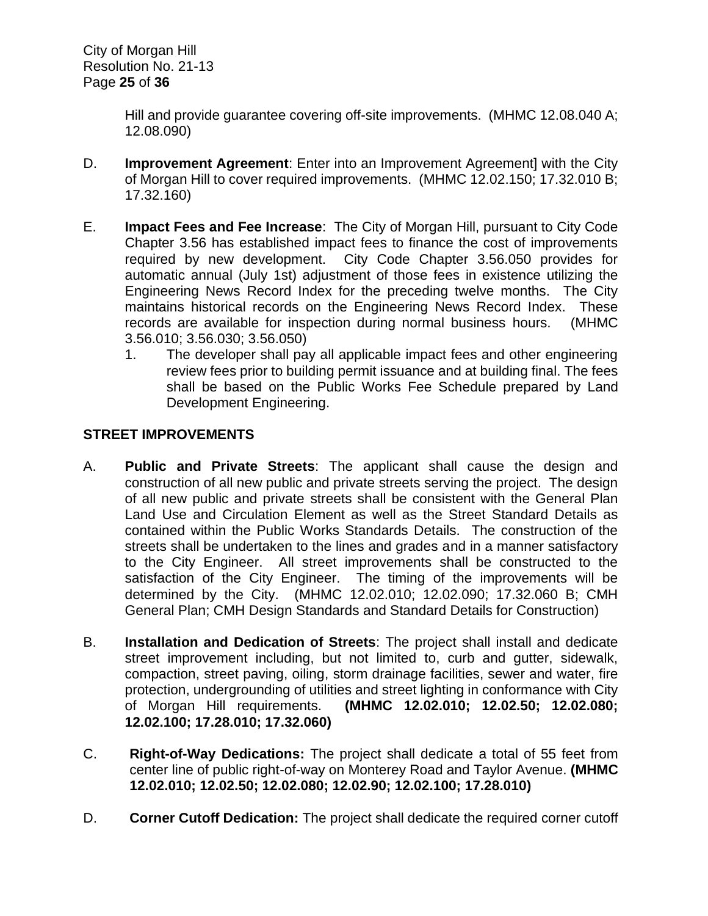Hill and provide guarantee covering off-site improvements. (MHMC 12.08.040 A; 12.08.090)

- D. **Improvement Agreement**: Enter into an Improvement Agreement] with the City of Morgan Hill to cover required improvements. (MHMC 12.02.150; 17.32.010 B; 17.32.160)
- E. **Impact Fees and Fee Increase**: The City of Morgan Hill, pursuant to City Code Chapter 3.56 has established impact fees to finance the cost of improvements required by new development. City Code Chapter 3.56.050 provides for automatic annual (July 1st) adjustment of those fees in existence utilizing the Engineering News Record Index for the preceding twelve months. The City maintains historical records on the Engineering News Record Index. These records are available for inspection during normal business hours. (MHMC 3.56.010; 3.56.030; 3.56.050)
	- 1. The developer shall pay all applicable impact fees and other engineering review fees prior to building permit issuance and at building final. The fees shall be based on the Public Works Fee Schedule prepared by Land Development Engineering.

# **STREET IMPROVEMENTS**

- A. **Public and Private Streets**: The applicant shall cause the design and construction of all new public and private streets serving the project. The design of all new public and private streets shall be consistent with the General Plan Land Use and Circulation Element as well as the Street Standard Details as contained within the Public Works Standards Details. The construction of the streets shall be undertaken to the lines and grades and in a manner satisfactory to the City Engineer. All street improvements shall be constructed to the satisfaction of the City Engineer. The timing of the improvements will be determined by the City. (MHMC 12.02.010; 12.02.090; 17.32.060 B; CMH General Plan; CMH Design Standards and Standard Details for Construction)
- B. **Installation and Dedication of Streets**: The project shall install and dedicate street improvement including, but not limited to, curb and gutter, sidewalk, compaction, street paving, oiling, storm drainage facilities, sewer and water, fire protection, undergrounding of utilities and street lighting in conformance with City of Morgan Hill requirements. **(MHMC 12.02.010; 12.02.50; 12.02.080; 12.02.100; 17.28.010; 17.32.060)**
- C. **Right-of-Way Dedications:** The project shall dedicate a total of 55 feet from center line of public right-of-way on Monterey Road and Taylor Avenue. **(MHMC 12.02.010; 12.02.50; 12.02.080; 12.02.90; 12.02.100; 17.28.010)**
- D. **Corner Cutoff Dedication:** The project shall dedicate the required corner cutoff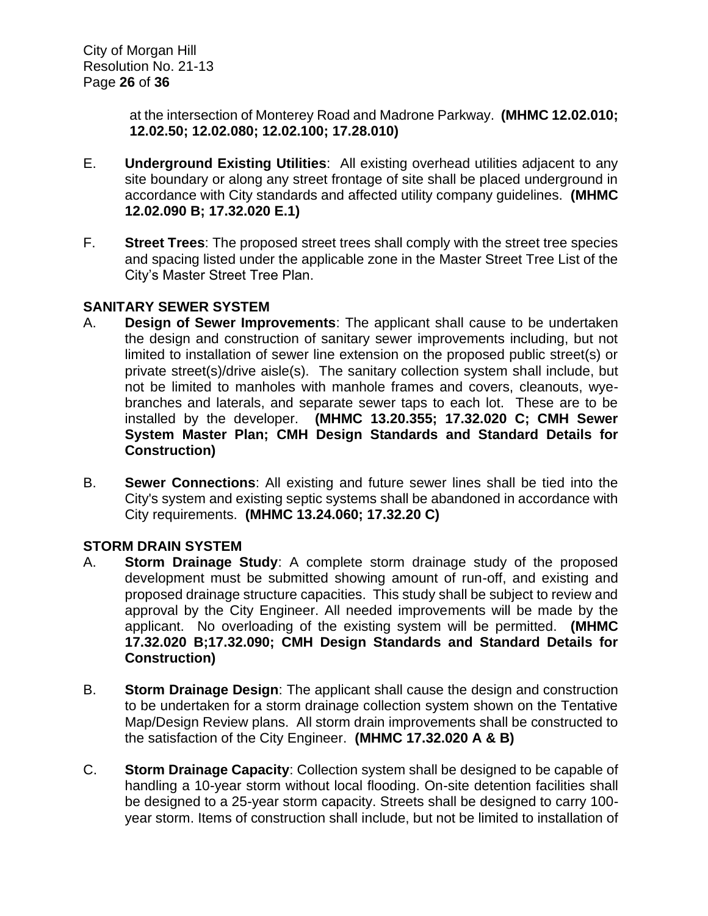at the intersection of Monterey Road and Madrone Parkway. **(MHMC 12.02.010; 12.02.50; 12.02.080; 12.02.100; 17.28.010)**

- E. **Underground Existing Utilities**: All existing overhead utilities adjacent to any site boundary or along any street frontage of site shall be placed underground in accordance with City standards and affected utility company guidelines. **(MHMC 12.02.090 B; 17.32.020 E.1)**
- F. **Street Trees**: The proposed street trees shall comply with the street tree species and spacing listed under the applicable zone in the Master Street Tree List of the City's Master Street Tree Plan.

# **SANITARY SEWER SYSTEM**

- A. **Design of Sewer Improvements**: The applicant shall cause to be undertaken the design and construction of sanitary sewer improvements including, but not limited to installation of sewer line extension on the proposed public street(s) or private street(s)/drive aisle(s). The sanitary collection system shall include, but not be limited to manholes with manhole frames and covers, cleanouts, wyebranches and laterals, and separate sewer taps to each lot. These are to be installed by the developer. **(MHMC 13.20.355; 17.32.020 C; CMH Sewer System Master Plan; CMH Design Standards and Standard Details for Construction)**
- B. **Sewer Connections**: All existing and future sewer lines shall be tied into the City's system and existing septic systems shall be abandoned in accordance with City requirements. **(MHMC 13.24.060; 17.32.20 C)**

# **STORM DRAIN SYSTEM**

- A. **Storm Drainage Study**: A complete storm drainage study of the proposed development must be submitted showing amount of run-off, and existing and proposed drainage structure capacities. This study shall be subject to review and approval by the City Engineer. All needed improvements will be made by the applicant. No overloading of the existing system will be permitted. **(MHMC 17.32.020 B;17.32.090; CMH Design Standards and Standard Details for Construction)**
- B. **Storm Drainage Design**: The applicant shall cause the design and construction to be undertaken for a storm drainage collection system shown on the Tentative Map/Design Review plans. All storm drain improvements shall be constructed to the satisfaction of the City Engineer. **(MHMC 17.32.020 A & B)**
- C. **Storm Drainage Capacity**: Collection system shall be designed to be capable of handling a 10-year storm without local flooding. On-site detention facilities shall be designed to a 25-year storm capacity. Streets shall be designed to carry 100 year storm. Items of construction shall include, but not be limited to installation of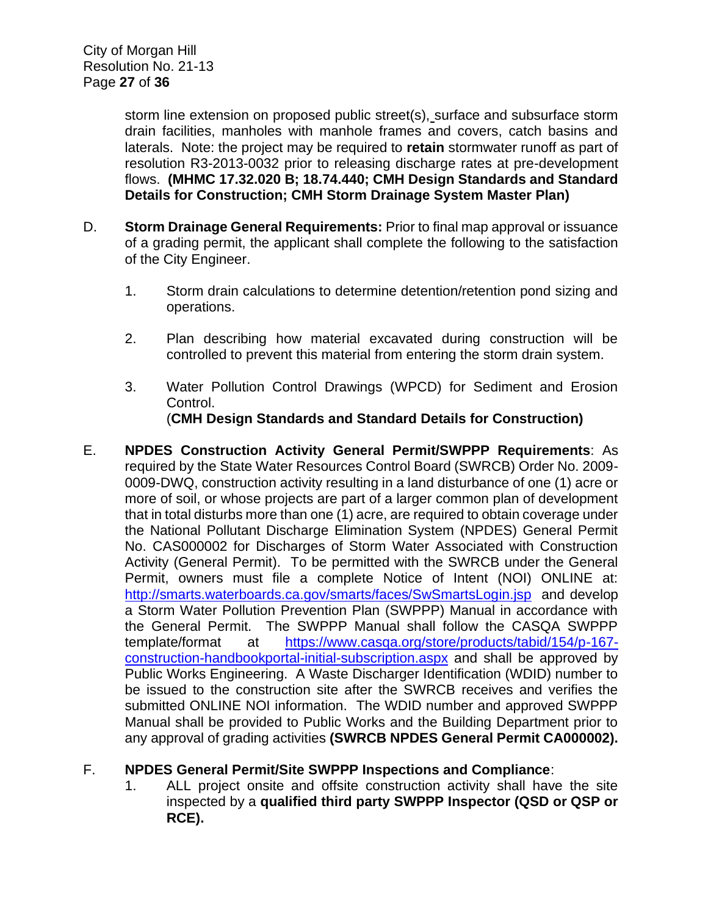storm line extension on proposed public street(s), surface and subsurface storm drain facilities, manholes with manhole frames and covers, catch basins and laterals. Note: the project may be required to **retain** stormwater runoff as part of resolution R3-2013-0032 prior to releasing discharge rates at pre-development flows. **(MHMC 17.32.020 B; 18.74.440; CMH Design Standards and Standard Details for Construction; CMH Storm Drainage System Master Plan)**

- D. **Storm Drainage General Requirements:** Prior to final map approval or issuance of a grading permit, the applicant shall complete the following to the satisfaction of the City Engineer.
	- 1. Storm drain calculations to determine detention/retention pond sizing and operations.
	- 2. Plan describing how material excavated during construction will be controlled to prevent this material from entering the storm drain system.
	- 3. Water Pollution Control Drawings (WPCD) for Sediment and Erosion Control. (**CMH Design Standards and Standard Details for Construction)**
- E. **NPDES Construction Activity General Permit/SWPPP Requirements**: As required by the State Water Resources Control Board (SWRCB) Order No. 2009- 0009-DWQ, construction activity resulting in a land disturbance of one (1) acre or more of soil, or whose projects are part of a larger common plan of development that in total disturbs more than one (1) acre, are required to obtain coverage under the National Pollutant Discharge Elimination System (NPDES) General Permit No. CAS000002 for Discharges of Storm Water Associated with Construction Activity (General Permit). To be permitted with the SWRCB under the General Permit, owners must file a complete Notice of Intent (NOI) ONLINE at: <http://smarts.waterboards.ca.gov/smarts/faces/SwSmartsLogin.jsp>and develop a Storm Water Pollution Prevention Plan (SWPPP) Manual in accordance with the General Permit. The SWPPP Manual shall follow the CASQA SWPPP template/format at [https://www.casqa.org/store/products/tabid/154/p-167](https://www.casqa.org/store/products/tabid/154/p-167-construction-handbookportal-initial-subscription.aspx) [construction-handbookportal-initial-subscription.aspx](https://www.casqa.org/store/products/tabid/154/p-167-construction-handbookportal-initial-subscription.aspx) and shall be approved by Public Works Engineering. A Waste Discharger Identification (WDID) number to be issued to the construction site after the SWRCB receives and verifies the submitted ONLINE NOI information. The WDID number and approved SWPPP Manual shall be provided to Public Works and the Building Department prior to any approval of grading activities **(SWRCB NPDES General Permit CA000002).**

# F. **NPDES General Permit/Site SWPPP Inspections and Compliance**:

1. ALL project onsite and offsite construction activity shall have the site inspected by a **qualified third party SWPPP Inspector (QSD or QSP or RCE).**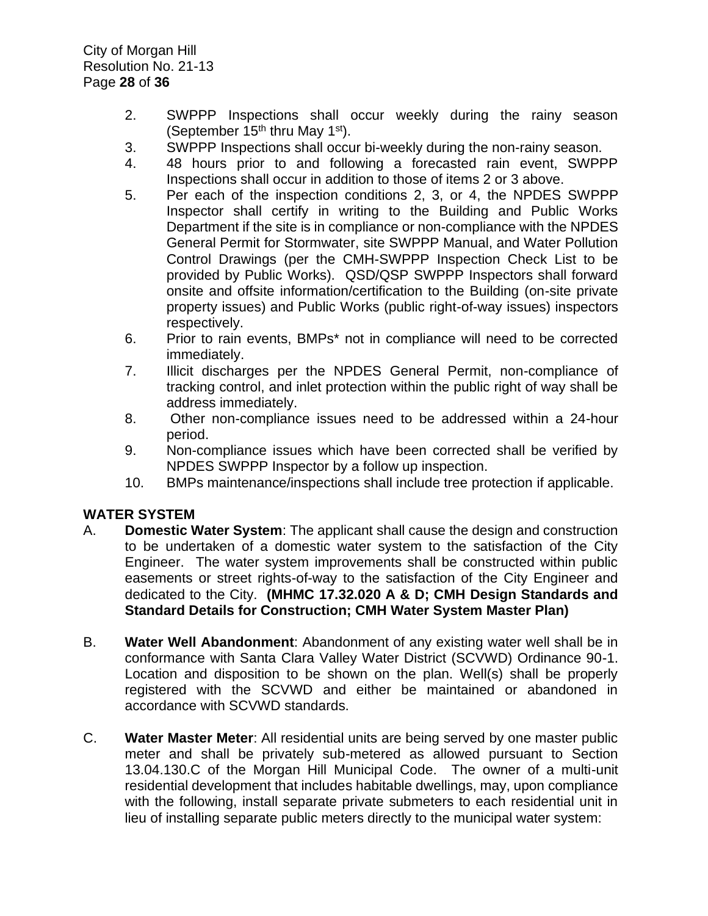- 2. SWPPP Inspections shall occur weekly during the rainy season (September  $15<sup>th</sup>$  thru May  $1<sup>st</sup>$ ).
- 3. SWPPP Inspections shall occur bi-weekly during the non-rainy season.
- 4. 48 hours prior to and following a forecasted rain event, SWPPP Inspections shall occur in addition to those of items 2 or 3 above.
- 5. Per each of the inspection conditions 2, 3, or 4, the NPDES SWPPP Inspector shall certify in writing to the Building and Public Works Department if the site is in compliance or non-compliance with the NPDES General Permit for Stormwater, site SWPPP Manual, and Water Pollution Control Drawings (per the CMH-SWPPP Inspection Check List to be provided by Public Works). QSD/QSP SWPPP Inspectors shall forward onsite and offsite information/certification to the Building (on-site private property issues) and Public Works (public right-of-way issues) inspectors respectively.
- 6. Prior to rain events, BMPs\* not in compliance will need to be corrected immediately.
- 7. Illicit discharges per the NPDES General Permit, non-compliance of tracking control, and inlet protection within the public right of way shall be address immediately.
- 8. Other non-compliance issues need to be addressed within a 24-hour period.
- 9. Non-compliance issues which have been corrected shall be verified by NPDES SWPPP Inspector by a follow up inspection.
- 10. BMPs maintenance/inspections shall include tree protection if applicable.

# **WATER SYSTEM**

- A. **Domestic Water System**: The applicant shall cause the design and construction to be undertaken of a domestic water system to the satisfaction of the City Engineer. The water system improvements shall be constructed within public easements or street rights-of-way to the satisfaction of the City Engineer and dedicated to the City. **(MHMC 17.32.020 A & D; CMH Design Standards and Standard Details for Construction; CMH Water System Master Plan)**
- B. **Water Well Abandonment**: Abandonment of any existing water well shall be in conformance with Santa Clara Valley Water District (SCVWD) Ordinance 90-1. Location and disposition to be shown on the plan. Well(s) shall be properly registered with the SCVWD and either be maintained or abandoned in accordance with SCVWD standards.
- C. **Water Master Meter**: All residential units are being served by one master public meter and shall be privately sub-metered as allowed pursuant to Section 13.04.130.C of the Morgan Hill Municipal Code. The owner of a multi-unit residential development that includes habitable dwellings, may, upon compliance with the following, install separate private submeters to each residential unit in lieu of installing separate public meters directly to the municipal water system: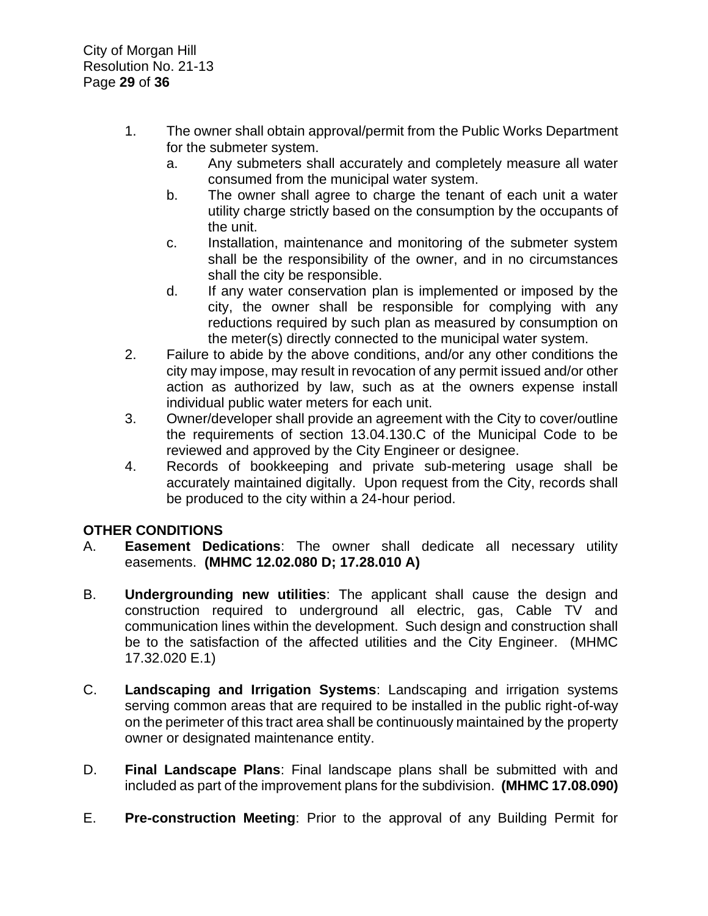- 1. The owner shall obtain approval/permit from the Public Works Department for the submeter system.
	- a. Any submeters shall accurately and completely measure all water consumed from the municipal water system.
	- b. The owner shall agree to charge the tenant of each unit a water utility charge strictly based on the consumption by the occupants of the unit.
	- c. Installation, maintenance and monitoring of the submeter system shall be the responsibility of the owner, and in no circumstances shall the city be responsible.
	- d. If any water conservation plan is implemented or imposed by the city, the owner shall be responsible for complying with any reductions required by such plan as measured by consumption on the meter(s) directly connected to the municipal water system.
- 2. Failure to abide by the above conditions, and/or any other conditions the city may impose, may result in revocation of any permit issued and/or other action as authorized by law, such as at the owners expense install individual public water meters for each unit.
- 3. Owner/developer shall provide an agreement with the City to cover/outline the requirements of section 13.04.130.C of the Municipal Code to be reviewed and approved by the City Engineer or designee.
- 4. Records of bookkeeping and private sub-metering usage shall be accurately maintained digitally. Upon request from the City, records shall be produced to the city within a 24-hour period.

# **OTHER CONDITIONS**

- A. **Easement Dedications**: The owner shall dedicate all necessary utility easements. **(MHMC 12.02.080 D; 17.28.010 A)**
- B. **Undergrounding new utilities**: The applicant shall cause the design and construction required to underground all electric, gas, Cable TV and communication lines within the development. Such design and construction shall be to the satisfaction of the affected utilities and the City Engineer. (MHMC 17.32.020 E.1)
- C. **Landscaping and Irrigation Systems**: Landscaping and irrigation systems serving common areas that are required to be installed in the public right-of-way on the perimeter of this tract area shall be continuously maintained by the property owner or designated maintenance entity.
- D. **Final Landscape Plans**: Final landscape plans shall be submitted with and included as part of the improvement plans for the subdivision. **(MHMC 17.08.090)**
- E. **Pre-construction Meeting**: Prior to the approval of any Building Permit for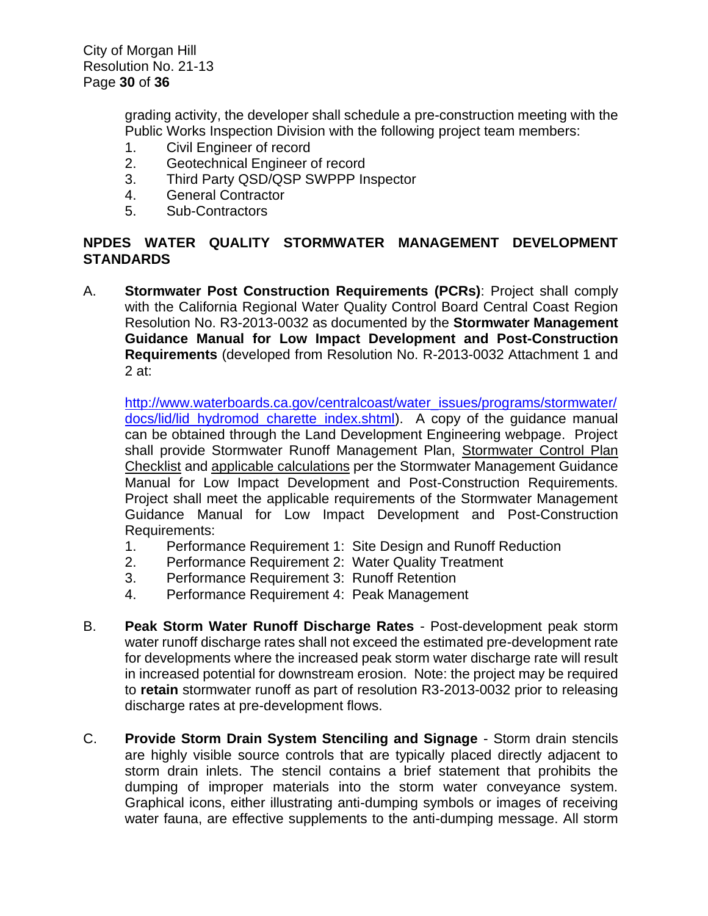grading activity, the developer shall schedule a pre-construction meeting with the Public Works Inspection Division with the following project team members:

- 1. Civil Engineer of record
- 2. Geotechnical Engineer of record
- 3. Third Party QSD/QSP SWPPP Inspector
- 4. General Contractor
- 5. Sub-Contractors

#### **NPDES WATER QUALITY STORMWATER MANAGEMENT DEVELOPMENT STANDARDS**

A. **Stormwater Post Construction Requirements (PCRs)**: Project shall comply with the California Regional Water Quality Control Board Central Coast Region Resolution No. R3-2013-0032 as documented by the **Stormwater Management Guidance Manual for Low Impact Development and Post-Construction Requirements** (developed from Resolution No. R-2013-0032 Attachment 1 and 2 at:

[http://www.waterboards.ca.gov/centralcoast/water\\_issues/programs/stormwater/](http://www.waterboards.ca.gov/centralcoast/water_issues/programs/stormwater/docs/lid/lid_hydromod_charette_index.shtml) [docs/lid/lid\\_hydromod\\_charette\\_index.shtml\)](http://www.waterboards.ca.gov/centralcoast/water_issues/programs/stormwater/docs/lid/lid_hydromod_charette_index.shtml). A copy of the guidance manual can be obtained through the Land Development Engineering webpage. Project shall provide Stormwater Runoff Management Plan, Stormwater Control Plan Checklist and applicable calculations per the Stormwater Management Guidance Manual for Low Impact Development and Post-Construction Requirements. Project shall meet the applicable requirements of the Stormwater Management Guidance Manual for Low Impact Development and Post-Construction Requirements:

- 1. Performance Requirement 1: Site Design and Runoff Reduction
- 2. Performance Requirement 2: Water Quality Treatment
- 3. Performance Requirement 3: Runoff Retention
- 4. Performance Requirement 4: Peak Management
- B. **Peak Storm Water Runoff Discharge Rates** Post-development peak storm water runoff discharge rates shall not exceed the estimated pre-development rate for developments where the increased peak storm water discharge rate will result in increased potential for downstream erosion. Note: the project may be required to **retain** stormwater runoff as part of resolution R3-2013-0032 prior to releasing discharge rates at pre-development flows.
- C. **Provide Storm Drain System Stenciling and Signage** Storm drain stencils are highly visible source controls that are typically placed directly adjacent to storm drain inlets. The stencil contains a brief statement that prohibits the dumping of improper materials into the storm water conveyance system. Graphical icons, either illustrating anti-dumping symbols or images of receiving water fauna, are effective supplements to the anti-dumping message. All storm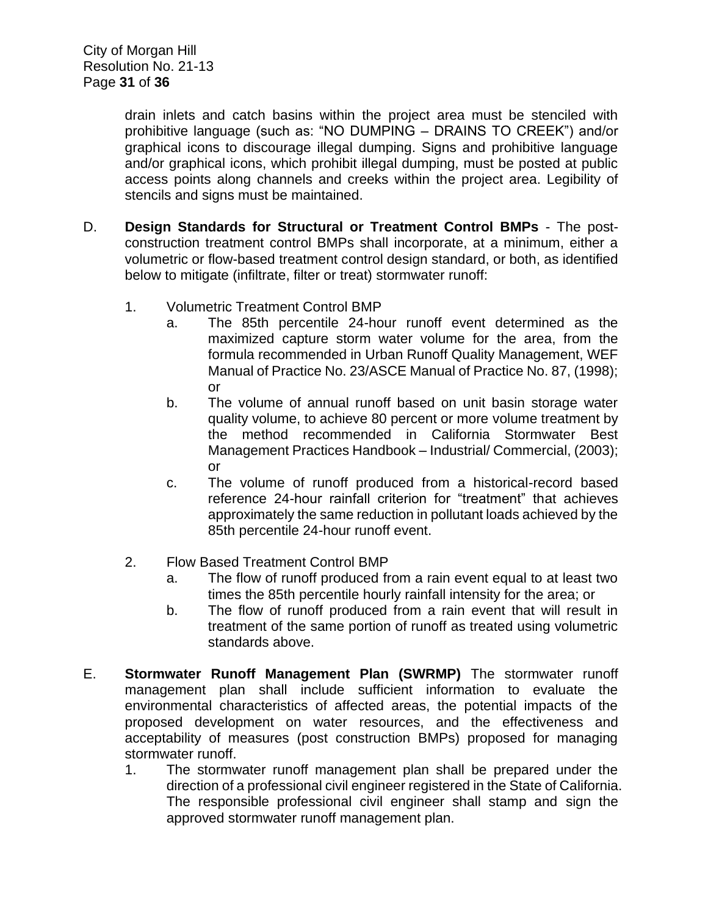drain inlets and catch basins within the project area must be stenciled with prohibitive language (such as: "NO DUMPING – DRAINS TO CREEK") and/or graphical icons to discourage illegal dumping. Signs and prohibitive language and/or graphical icons, which prohibit illegal dumping, must be posted at public access points along channels and creeks within the project area. Legibility of stencils and signs must be maintained.

- D. **Design Standards for Structural or Treatment Control BMPs** The postconstruction treatment control BMPs shall incorporate, at a minimum, either a volumetric or flow-based treatment control design standard, or both, as identified below to mitigate (infiltrate, filter or treat) stormwater runoff:
	- 1. Volumetric Treatment Control BMP
		- a. The 85th percentile 24-hour runoff event determined as the maximized capture storm water volume for the area, from the formula recommended in Urban Runoff Quality Management, WEF Manual of Practice No. 23/ASCE Manual of Practice No. 87, (1998); or
		- b. The volume of annual runoff based on unit basin storage water quality volume, to achieve 80 percent or more volume treatment by the method recommended in California Stormwater Best Management Practices Handbook – Industrial/ Commercial, (2003); or
		- c. The volume of runoff produced from a historical-record based reference 24-hour rainfall criterion for "treatment" that achieves approximately the same reduction in pollutant loads achieved by the 85th percentile 24-hour runoff event.
	- 2. Flow Based Treatment Control BMP
		- a. The flow of runoff produced from a rain event equal to at least two times the 85th percentile hourly rainfall intensity for the area; or
		- b. The flow of runoff produced from a rain event that will result in treatment of the same portion of runoff as treated using volumetric standards above.
- E. **Stormwater Runoff Management Plan (SWRMP)** The stormwater runoff management plan shall include sufficient information to evaluate the environmental characteristics of affected areas, the potential impacts of the proposed development on water resources, and the effectiveness and acceptability of measures (post construction BMPs) proposed for managing stormwater runoff.
	- 1. The stormwater runoff management plan shall be prepared under the direction of a professional civil engineer registered in the State of California. The responsible professional civil engineer shall stamp and sign the approved stormwater runoff management plan.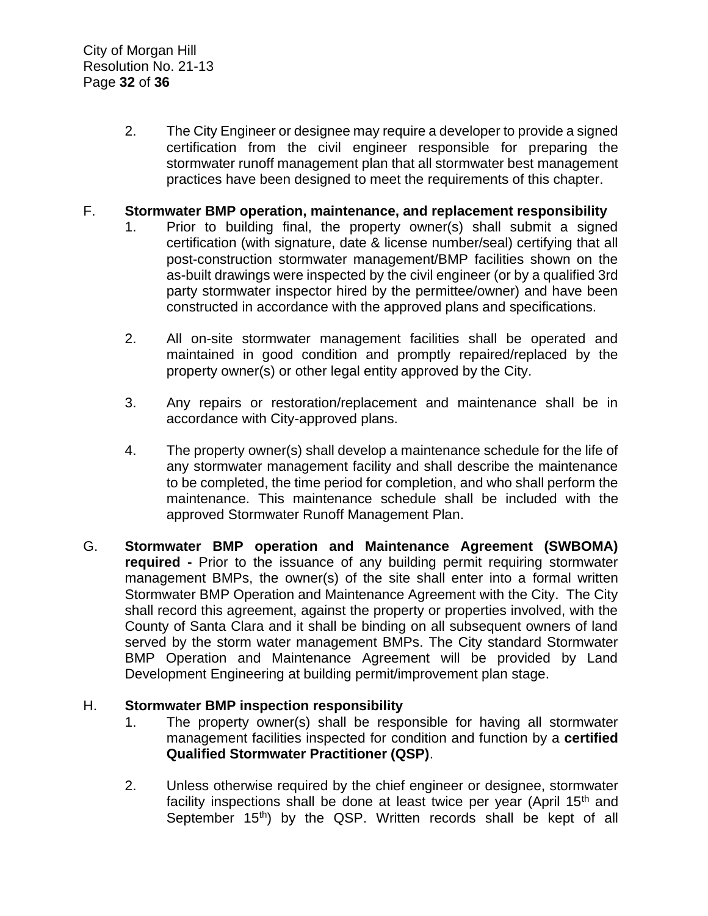2. The City Engineer or designee may require a developer to provide a signed certification from the civil engineer responsible for preparing the stormwater runoff management plan that all stormwater best management practices have been designed to meet the requirements of this chapter.

#### F. **Stormwater BMP operation, maintenance, and replacement responsibility**

- 1. Prior to building final, the property owner(s) shall submit a signed certification (with signature, date & license number/seal) certifying that all post-construction stormwater management/BMP facilities shown on the as-built drawings were inspected by the civil engineer (or by a qualified 3rd party stormwater inspector hired by the permittee/owner) and have been constructed in accordance with the approved plans and specifications.
- 2. All on-site stormwater management facilities shall be operated and maintained in good condition and promptly repaired/replaced by the property owner(s) or other legal entity approved by the City.
- 3. Any repairs or restoration/replacement and maintenance shall be in accordance with City-approved plans.
- 4. The property owner(s) shall develop a maintenance schedule for the life of any stormwater management facility and shall describe the maintenance to be completed, the time period for completion, and who shall perform the maintenance. This maintenance schedule shall be included with the approved Stormwater Runoff Management Plan.
- G. **Stormwater BMP operation and Maintenance Agreement (SWBOMA) required -** Prior to the issuance of any building permit requiring stormwater management BMPs, the owner(s) of the site shall enter into a formal written Stormwater BMP Operation and Maintenance Agreement with the City. The City shall record this agreement, against the property or properties involved, with the County of Santa Clara and it shall be binding on all subsequent owners of land served by the storm water management BMPs. The City standard Stormwater BMP Operation and Maintenance Agreement will be provided by Land Development Engineering at building permit/improvement plan stage.

#### H. **Stormwater BMP inspection responsibility**

- 1. The property owner(s) shall be responsible for having all stormwater management facilities inspected for condition and function by a **certified Qualified Stormwater Practitioner (QSP)**.
- 2. Unless otherwise required by the chief engineer or designee, stormwater facility inspections shall be done at least twice per year (April  $15<sup>th</sup>$  and September  $15<sup>th</sup>$ ) by the QSP. Written records shall be kept of all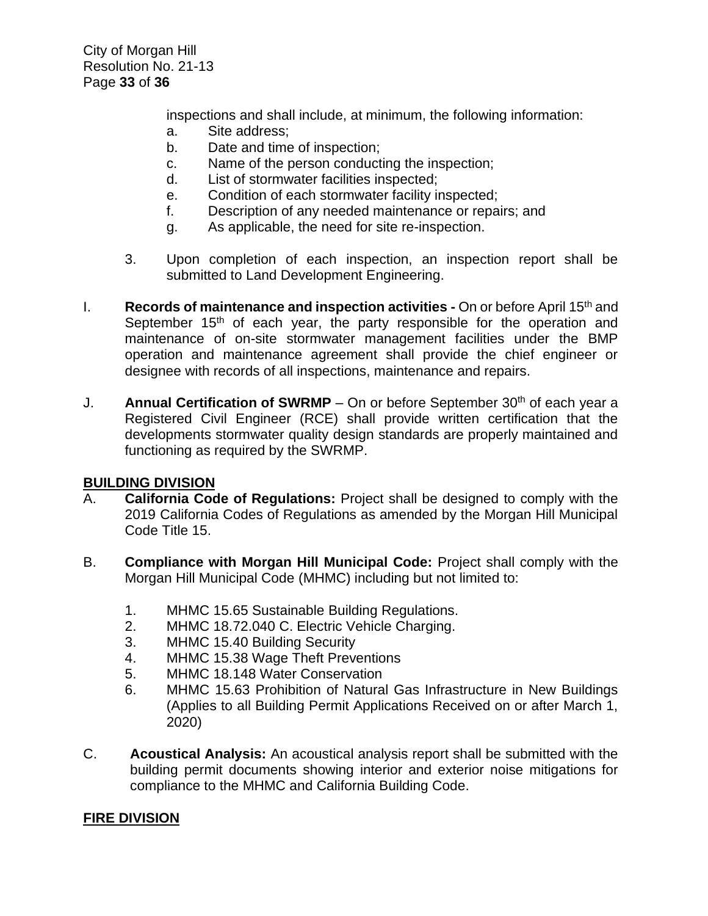City of Morgan Hill Resolution No. 21-13 Page **33** of **36**

inspections and shall include, at minimum, the following information:

- a. Site address;
- b. Date and time of inspection;
- c. Name of the person conducting the inspection;
- d. List of stormwater facilities inspected;
- e. Condition of each stormwater facility inspected;
- f. Description of any needed maintenance or repairs; and
- g. As applicable, the need for site re-inspection.
- 3. Upon completion of each inspection, an inspection report shall be submitted to Land Development Engineering.
- I. **Records of maintenance and inspection activities -** On or before April 15th and September  $15<sup>th</sup>$  of each year, the party responsible for the operation and maintenance of on-site stormwater management facilities under the BMP operation and maintenance agreement shall provide the chief engineer or designee with records of all inspections, maintenance and repairs.
- J. **Annual Certification of SWRMP** On or before September  $30<sup>th</sup>$  of each year a Registered Civil Engineer (RCE) shall provide written certification that the developments stormwater quality design standards are properly maintained and functioning as required by the SWRMP.

#### **BUILDING DIVISION**

- A. **California Code of Regulations:** Project shall be designed to comply with the 2019 California Codes of Regulations as amended by the Morgan Hill Municipal Code Title 15.
- B. **Compliance with Morgan Hill Municipal Code:** Project shall comply with the Morgan Hill Municipal Code (MHMC) including but not limited to:
	- 1. MHMC 15.65 Sustainable Building Regulations.
	- 2. MHMC 18.72.040 C. Electric Vehicle Charging.
	- 3. MHMC 15.40 Building Security
	- 4. MHMC 15.38 Wage Theft Preventions
	- 5. MHMC 18.148 Water Conservation
	- 6. MHMC 15.63 Prohibition of Natural Gas Infrastructure in New Buildings (Applies to all Building Permit Applications Received on or after March 1, 2020)
- C. **Acoustical Analysis:** An acoustical analysis report shall be submitted with the building permit documents showing interior and exterior noise mitigations for compliance to the MHMC and California Building Code.

#### **FIRE DIVISION**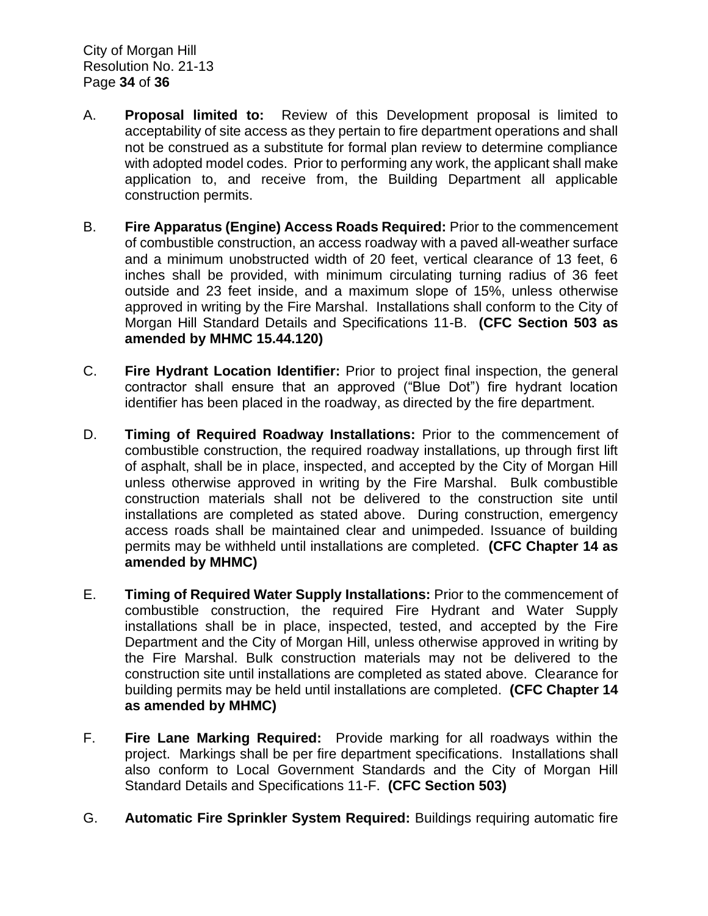City of Morgan Hill Resolution No. 21-13 Page **34** of **36**

- A. **Proposal limited to:** Review of this Development proposal is limited to acceptability of site access as they pertain to fire department operations and shall not be construed as a substitute for formal plan review to determine compliance with adopted model codes. Prior to performing any work, the applicant shall make application to, and receive from, the Building Department all applicable construction permits.
- B. **Fire Apparatus (Engine) Access Roads Required:** Prior to the commencement of combustible construction, an access roadway with a paved all-weather surface and a minimum unobstructed width of 20 feet, vertical clearance of 13 feet, 6 inches shall be provided, with minimum circulating turning radius of 36 feet outside and 23 feet inside, and a maximum slope of 15%, unless otherwise approved in writing by the Fire Marshal. Installations shall conform to the City of Morgan Hill Standard Details and Specifications 11-B. **(CFC Section 503 as amended by MHMC 15.44.120)**
- C. **Fire Hydrant Location Identifier:** Prior to project final inspection, the general contractor shall ensure that an approved ("Blue Dot") fire hydrant location identifier has been placed in the roadway, as directed by the fire department.
- D. **Timing of Required Roadway Installations:** Prior to the commencement of combustible construction, the required roadway installations, up through first lift of asphalt, shall be in place, inspected, and accepted by the City of Morgan Hill unless otherwise approved in writing by the Fire Marshal. Bulk combustible construction materials shall not be delivered to the construction site until installations are completed as stated above. During construction, emergency access roads shall be maintained clear and unimpeded. Issuance of building permits may be withheld until installations are completed. **(CFC Chapter 14 as amended by MHMC)**
- E. **Timing of Required Water Supply Installations:** Prior to the commencement of combustible construction, the required Fire Hydrant and Water Supply installations shall be in place, inspected, tested, and accepted by the Fire Department and the City of Morgan Hill, unless otherwise approved in writing by the Fire Marshal. Bulk construction materials may not be delivered to the construction site until installations are completed as stated above. Clearance for building permits may be held until installations are completed. **(CFC Chapter 14 as amended by MHMC)**
- F. **Fire Lane Marking Required:** Provide marking for all roadways within the project. Markings shall be per fire department specifications. Installations shall also conform to Local Government Standards and the City of Morgan Hill Standard Details and Specifications 11-F. **(CFC Section 503)**
- G. **Automatic Fire Sprinkler System Required:** Buildings requiring automatic fire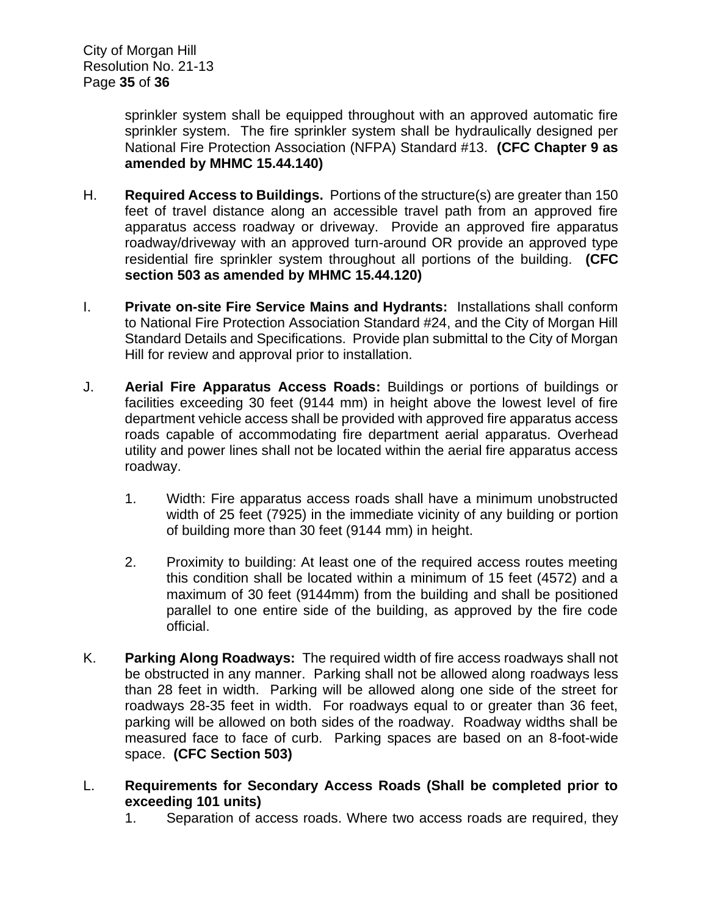sprinkler system shall be equipped throughout with an approved automatic fire sprinkler system. The fire sprinkler system shall be hydraulically designed per National Fire Protection Association (NFPA) Standard #13. **(CFC Chapter 9 as amended by MHMC 15.44.140)**

- H. **Required Access to Buildings.** Portions of the structure(s) are greater than 150 feet of travel distance along an accessible travel path from an approved fire apparatus access roadway or driveway. Provide an approved fire apparatus roadway/driveway with an approved turn-around OR provide an approved type residential fire sprinkler system throughout all portions of the building. **(CFC section 503 as amended by MHMC 15.44.120)**
- I. **Private on-site Fire Service Mains and Hydrants:** Installations shall conform to National Fire Protection Association Standard #24, and the City of Morgan Hill Standard Details and Specifications. Provide plan submittal to the City of Morgan Hill for review and approval prior to installation.
- J. **Aerial Fire Apparatus Access Roads:** Buildings or portions of buildings or facilities exceeding 30 feet (9144 mm) in height above the lowest level of fire department vehicle access shall be provided with approved fire apparatus access roads capable of accommodating fire department aerial apparatus. Overhead utility and power lines shall not be located within the aerial fire apparatus access roadway.
	- 1. Width: Fire apparatus access roads shall have a minimum unobstructed width of 25 feet (7925) in the immediate vicinity of any building or portion of building more than 30 feet (9144 mm) in height.
	- 2. Proximity to building: At least one of the required access routes meeting this condition shall be located within a minimum of 15 feet (4572) and a maximum of 30 feet (9144mm) from the building and shall be positioned parallel to one entire side of the building, as approved by the fire code official.
- K. **Parking Along Roadways:** The required width of fire access roadways shall not be obstructed in any manner. Parking shall not be allowed along roadways less than 28 feet in width. Parking will be allowed along one side of the street for roadways 28-35 feet in width. For roadways equal to or greater than 36 feet, parking will be allowed on both sides of the roadway. Roadway widths shall be measured face to face of curb. Parking spaces are based on an 8-foot-wide space. **(CFC Section 503)**
- L. **Requirements for Secondary Access Roads (Shall be completed prior to exceeding 101 units)**
	- 1. Separation of access roads. Where two access roads are required, they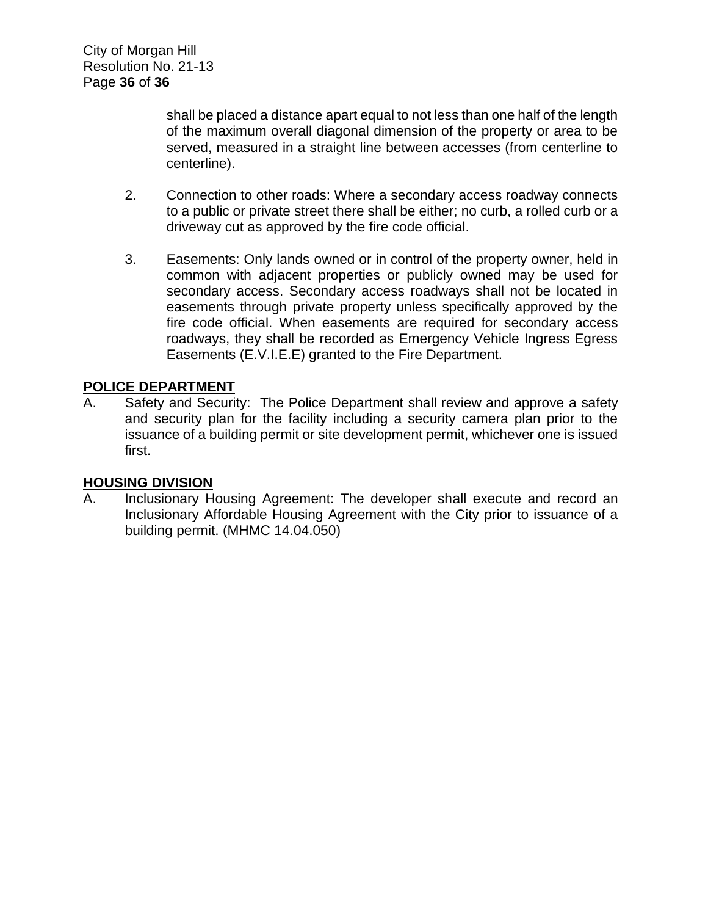shall be placed a distance apart equal to not less than one half of the length of the maximum overall diagonal dimension of the property or area to be served, measured in a straight line between accesses (from centerline to centerline).

- 2. Connection to other roads: Where a secondary access roadway connects to a public or private street there shall be either; no curb, a rolled curb or a driveway cut as approved by the fire code official.
- 3. Easements: Only lands owned or in control of the property owner, held in common with adjacent properties or publicly owned may be used for secondary access. Secondary access roadways shall not be located in easements through private property unless specifically approved by the fire code official. When easements are required for secondary access roadways, they shall be recorded as Emergency Vehicle Ingress Egress Easements (E.V.I.E.E) granted to the Fire Department.

# **POLICE DEPARTMENT**

A. Safety and Security: The Police Department shall review and approve a safety and security plan for the facility including a security camera plan prior to the issuance of a building permit or site development permit, whichever one is issued first.

#### **HOUSING DIVISION**

A. Inclusionary Housing Agreement: The developer shall execute and record an Inclusionary Affordable Housing Agreement with the City prior to issuance of a building permit. (MHMC 14.04.050)